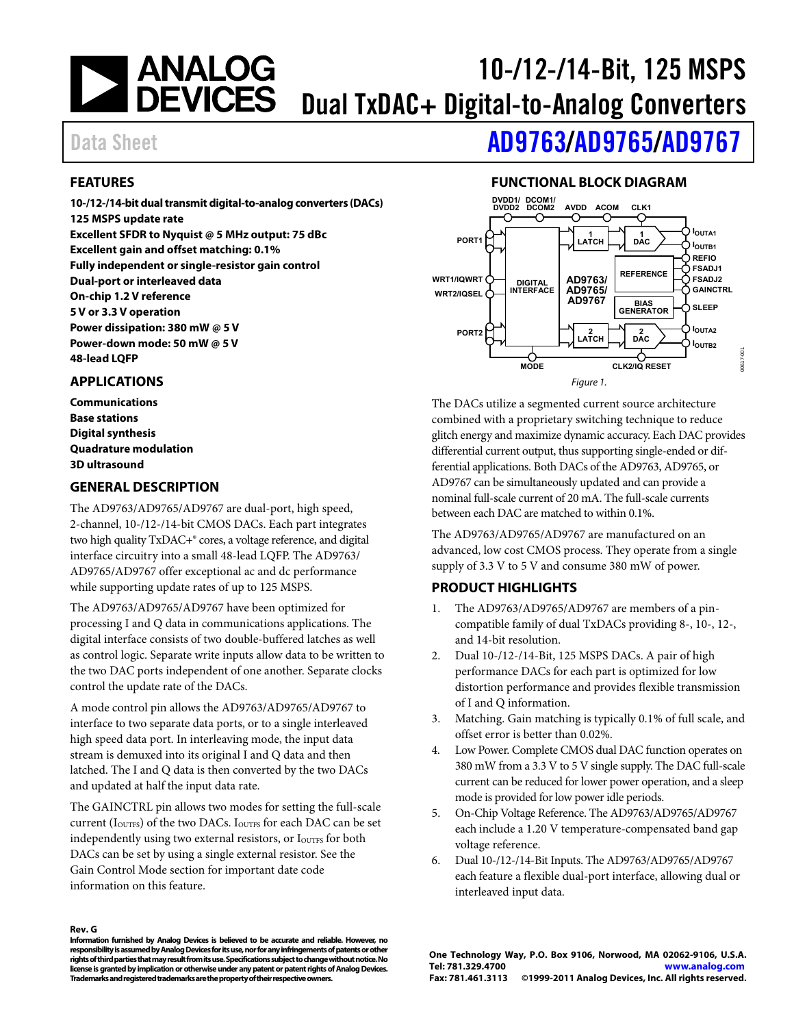# <span id="page-0-0"></span>| ANALOG<br>| DEVICES 10-/12-/14-Bit, 125 MSPS Dual TxDAC+ Digital-to-Analog Converters

# Data Sheet **[AD9763](http://www.analog.com/AD9763)/[AD9765](http://www.analog.com/AD9765)[/AD9767](http://www.analog.com/AD9767)**

## **FEATURES**

**10-/12-/14-bit dual transmit digital-to-analog converters (DACs) 125 MSPS update rate Excellent SFDR to Nyquist @ 5 MHz output: 75 dBc Excellent gain and offset matching: 0.1% Fully independent or single-resistor gain control Dual-port or interleaved data On-chip 1.2 V reference 5 V or 3.3 V operation Power dissipation: 380 mW @ 5 V Power-down mode: 50 mW @ 5 V 48-lead LQFP** 

### **APPLICATIONS**

**Communications Base stations Digital synthesis Quadrature modulation 3D ultrasound** 

### **GENERAL DESCRIPTION**

The AD9763/AD9765/AD9767 are dual-port, high speed, 2-channel, 10-/12-/14-bit CMOS DACs. Each part integrates two high quality TxDAC+® cores, a voltage reference, and digital interface circuitry into a small 48-lead LQFP. The AD9763/ AD9765/AD9767 offer exceptional ac and dc performance while supporting update rates of up to 125 MSPS.

The AD9763/AD9765/AD9767 have been optimized for processing I and Q data in communications applications. The digital interface consists of two double-buffered latches as well as control logic. Separate write inputs allow data to be written to the two DAC ports independent of one another. Separate clocks control the update rate of the DACs.

A mode control pin allows the AD9763/AD9765/AD9767 to interface to two separate data ports, or to a single interleaved high speed data port. In interleaving mode, the input data stream is demuxed into its original I and Q data and then latched. The I and Q data is then converted by the two DACs and updated at half the input data rate.

The GAINCTRL pin allows two modes for setting the full-scale current (I<sub>OUTFS</sub>) of the two DACs. I<sub>OUTFS</sub> for each DAC can be set independently using two external resistors, or I<sub>OUTFS</sub> for both DACs can be set by using a single external resistor. See the [Gain Control Mode](#page-21-0) section for important date code information on this feature.

## **FUNCTIONAL BLOCK DIAGRAM**



The DACs utilize a segmented current source architecture combined with a proprietary switching technique to reduce glitch energy and maximize dynamic accuracy. Each DAC provides differential current output, thus supporting single-ended or differential applications. Both DACs of the AD9763, AD9765, or AD9767 can be simultaneously updated and can provide a nominal full-scale current of 20 mA. The full-scale currents between each DAC are matched to within 0.1%.

The AD9763/AD9765/AD9767 are manufactured on an advanced, low cost CMOS process. They operate from a single supply of 3.3 V to 5 V and consume 380 mW of power.

## **PRODUCT HIGHLIGHTS**

- 1. The AD9763/AD9765/AD9767 are members of a pincompatible family of dual TxDACs providing 8-, 10-, 12-, and 14-bit resolution.
- 2. Dual 10-/12-/14-Bit, 125 MSPS DACs. A pair of high performance DACs for each part is optimized for low distortion performance and provides flexible transmission of I and Q information.
- 3. Matching. Gain matching is typically 0.1% of full scale, and offset error is better than 0.02%.
- 4. Low Power. Complete CMOS dual DAC function operates on 380 mW from a 3.3 V to 5 V single supply. The DAC full-scale current can be reduced for lower power operation, and a sleep mode is provided for low power idle periods.
- 5. On-Chip Voltage Reference. The AD9763/AD9765/AD9767 each include a 1.20 V temperature-compensated band gap voltage reference.
- 6. Dual 10-/12-/14-Bit Inputs. The AD9763/AD9765/AD9767 each feature a flexible dual-port interface, allowing dual or interleaved input data.

#### **Rev. G**

**Information furnished by Analog Devices is believed to be accurate and reliable. However, no responsibility is assumed by Analog Devices for its use, nor for any infringements of patents or other rights of third parties that may result from its use. Specifications subject to change without notice. No license is granted by implication or otherwise under any patent or patent rights of Analog Devices. Trademarks and registered trademarks are the property of their respective owners.**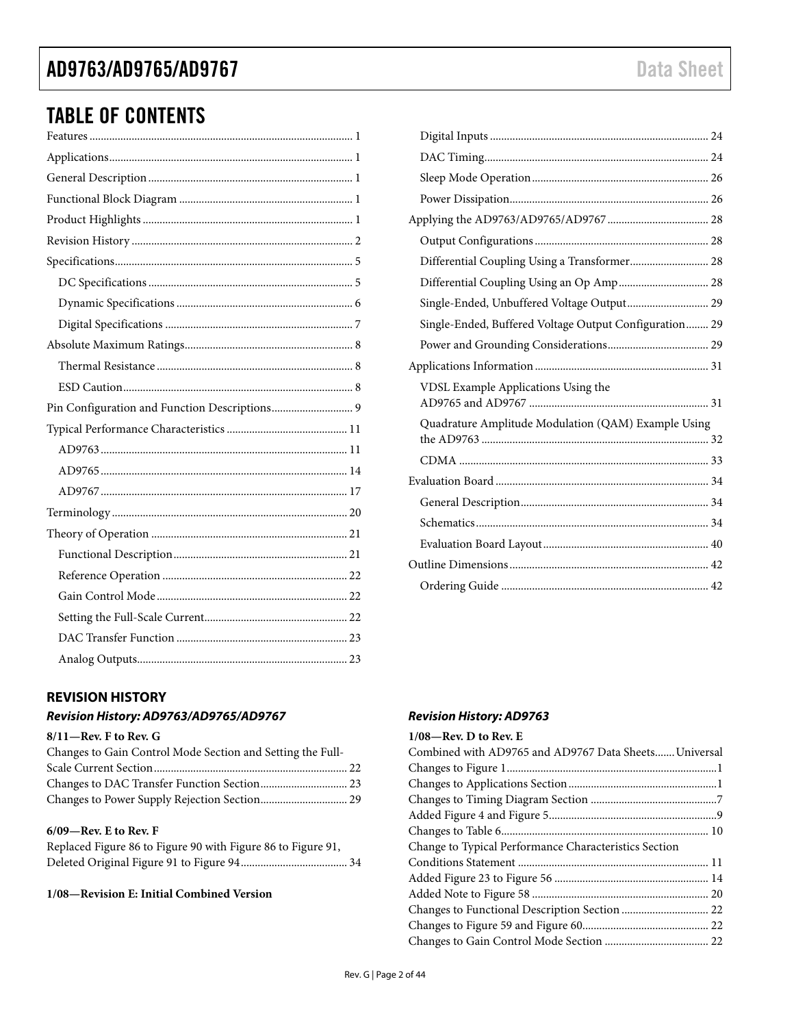# <span id="page-1-0"></span>TABLE OF CONTENTS

## **REVISION HISTORY**

## **Revision History: AD9763/AD9765/AD9767**

### **8/11—Rev. F to Rev. G**

| Changes to Gain Control Mode Section and Setting the Full- |  |
|------------------------------------------------------------|--|
|                                                            |  |
|                                                            |  |
|                                                            |  |

### **6/09—Rev. E to Rev. F**

| Replaced Figure 86 to Figure 90 with Figure 86 to Figure 91, |  |
|--------------------------------------------------------------|--|
|                                                              |  |

### **1/08—Revision E: Initial Combined Version**

| Differential Coupling Using a Transformer 28           |  |
|--------------------------------------------------------|--|
| Differential Coupling Using an Op Amp 28               |  |
| Single-Ended, Unbuffered Voltage Output 29             |  |
| Single-Ended, Buffered Voltage Output Configuration 29 |  |
|                                                        |  |
|                                                        |  |
| VDSL Example Applications Using the                    |  |
| Quadrature Amplitude Modulation (QAM) Example Using    |  |
|                                                        |  |
|                                                        |  |
|                                                        |  |
|                                                        |  |
|                                                        |  |
|                                                        |  |
|                                                        |  |
|                                                        |  |

## **Revision History: AD9763**

#### **1/08—Rev. D to Rev. E**

| Combined with AD9765 and AD9767 Data Sheets Universal |  |
|-------------------------------------------------------|--|
|                                                       |  |
|                                                       |  |
|                                                       |  |
|                                                       |  |
|                                                       |  |
| Change to Typical Performance Characteristics Section |  |
|                                                       |  |
|                                                       |  |
|                                                       |  |
|                                                       |  |
|                                                       |  |
|                                                       |  |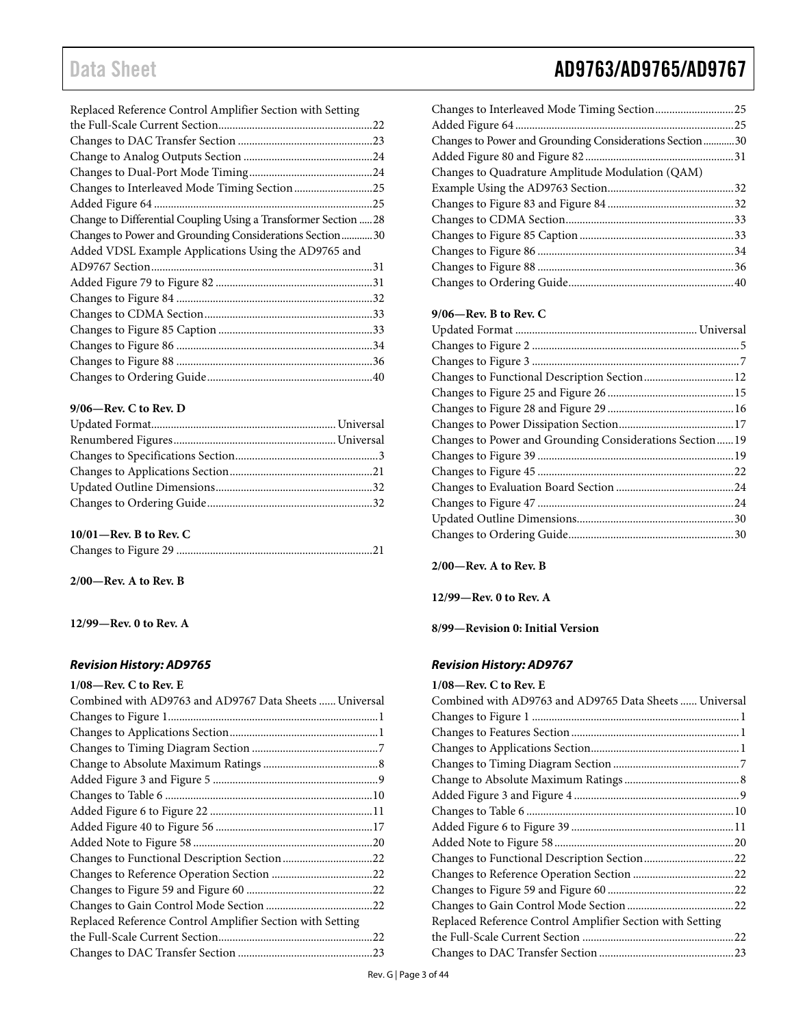| Replaced Reference Control Amplifier Section with Setting       |  |
|-----------------------------------------------------------------|--|
|                                                                 |  |
|                                                                 |  |
|                                                                 |  |
|                                                                 |  |
| Changes to Interleaved Mode Timing Section 25                   |  |
|                                                                 |  |
| Change to Differential Coupling Using a Transformer Section  28 |  |
| Changes to Power and Grounding Considerations Section  30       |  |
| Added VDSL Example Applications Using the AD9765 and            |  |
|                                                                 |  |
|                                                                 |  |
|                                                                 |  |
|                                                                 |  |
|                                                                 |  |
|                                                                 |  |
|                                                                 |  |
|                                                                 |  |

### **9/06—Rev. C to Rev. D**

### **10/01—Rev. B to Rev. C**

**2/00—Rev. A to Rev. B** 

### **12/99—Rev. 0 to Rev. A**

### **Revision History: AD9765**

| $1/08$ —Rev. C to Rev. E                                  |  |
|-----------------------------------------------------------|--|
| Combined with AD9763 and AD9767 Data Sheets  Universal    |  |
|                                                           |  |
|                                                           |  |
|                                                           |  |
|                                                           |  |
|                                                           |  |
|                                                           |  |
|                                                           |  |
|                                                           |  |
|                                                           |  |
|                                                           |  |
|                                                           |  |
|                                                           |  |
|                                                           |  |
| Replaced Reference Control Amplifier Section with Setting |  |
|                                                           |  |
|                                                           |  |

| Changes to Power and Grounding Considerations Section 30 |  |
|----------------------------------------------------------|--|
|                                                          |  |
| Changes to Quadrature Amplitude Modulation (QAM)         |  |
|                                                          |  |
|                                                          |  |
|                                                          |  |
|                                                          |  |
|                                                          |  |
|                                                          |  |
|                                                          |  |
|                                                          |  |

### **9/06—Rev. B to Rev. C**

| Changes to Functional Description Section 12            |  |
|---------------------------------------------------------|--|
|                                                         |  |
|                                                         |  |
|                                                         |  |
| Changes to Power and Grounding Considerations Section19 |  |
|                                                         |  |
|                                                         |  |
|                                                         |  |
|                                                         |  |
|                                                         |  |
|                                                         |  |
|                                                         |  |

### **2/00—Rev. A to Rev. B**

**12/99—Rev. 0 to Rev. A** 

**8/99—Revision 0: Initial Version** 

### **Revision History: AD9767**

#### **1/08—Rev. C to Rev. E**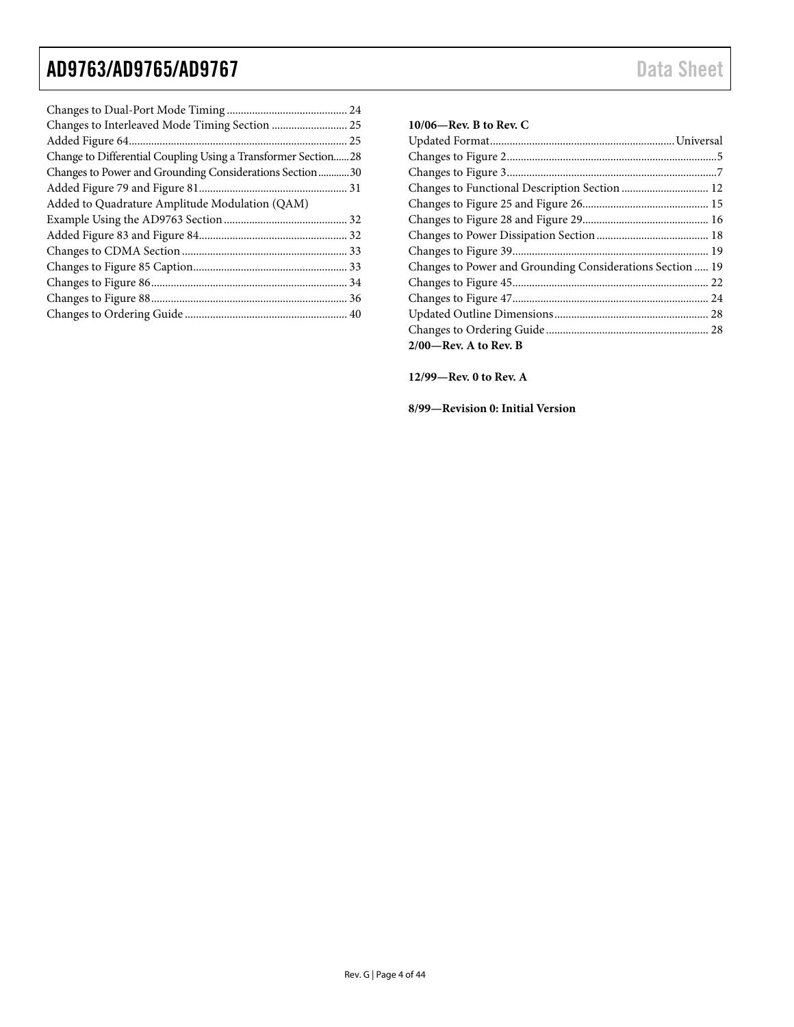| Changes to Interleaved Mode Timing Section  25                    |
|-------------------------------------------------------------------|
|                                                                   |
| Change to Differential Coupling Using a Transformer Section<br>28 |
| Changes to Power and Grounding Considerations Section 30          |
|                                                                   |
| Added to Quadrature Amplitude Modulation (QAM)                    |
|                                                                   |
|                                                                   |
|                                                                   |
|                                                                   |
|                                                                   |
|                                                                   |
|                                                                   |

### **10/06—Rev. B to Rev. C**

| Changes to Power and Grounding Considerations Section  19 |  |
|-----------------------------------------------------------|--|
|                                                           |  |
|                                                           |  |
|                                                           |  |
|                                                           |  |
| $2/00$ —Rev. A to Rev. B                                  |  |

**12/99—Rev. 0 to Rev. A** 

**8/99—Revision 0: Initial Version**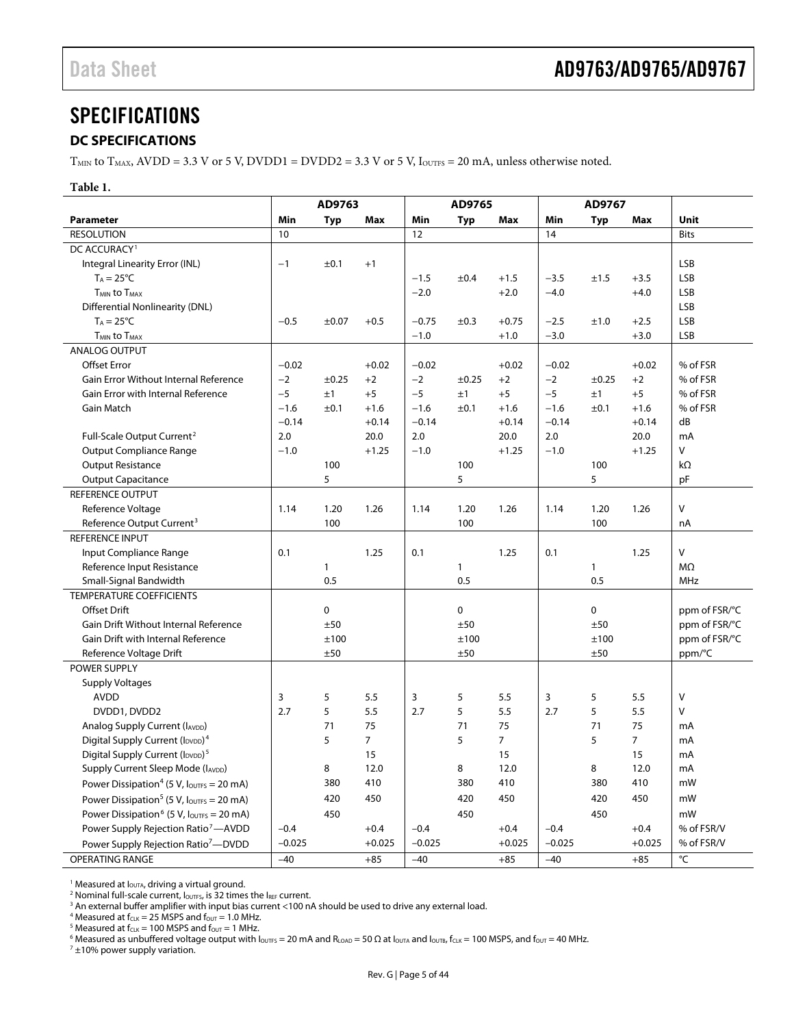# <span id="page-4-0"></span>**SPECIFICATIONS**

### **DC SPECIFICATIONS**

 $T<sub>MIN</sub>$  to  $T<sub>MAX</sub>$ , AVDD = 3.3 V or 5 V, DVDD1 = DVDD2 = 3.3 V or 5 V, I<sub>OUTFS</sub> = 20 mA, unless otherwise noted.

#### **Table 1.**

|                                                                           |          | AD9763       |                |          | AD9765       |                |          | AD9767       |                |               |
|---------------------------------------------------------------------------|----------|--------------|----------------|----------|--------------|----------------|----------|--------------|----------------|---------------|
| <b>Parameter</b>                                                          | Min      | <b>Typ</b>   | <b>Max</b>     | Min      | <b>Typ</b>   | Max            | Min      | <b>Typ</b>   | Max            | Unit          |
| <b>RESOLUTION</b>                                                         | 10       |              |                | 12       |              |                | 14       |              |                | <b>Bits</b>   |
| DC ACCURACY <sup>1</sup>                                                  |          |              |                |          |              |                |          |              |                |               |
| Integral Linearity Error (INL)                                            | $-1$     | ±0.1         | $+1$           |          |              |                |          |              |                | LSB           |
| $T_A = 25^{\circ}C$                                                       |          |              |                | $-1.5$   | ±0.4         | $+1.5$         | $-3.5$   | ±1.5         | $+3.5$         | LSB           |
| T <sub>MIN</sub> to T <sub>MAX</sub>                                      |          |              |                | $-2.0$   |              | $+2.0$         | $-4.0$   |              | $+4.0$         | LSB           |
| <b>Differential Nonlinearity (DNL)</b>                                    |          |              |                |          |              |                |          |              |                | LSB           |
| $T_A = 25^{\circ}C$                                                       | $-0.5$   | ±0.07        | $+0.5$         | $-0.75$  | ±0.3         | $+0.75$        | $-2.5$   | ±1.0         | $+2.5$         | LSB           |
| <b>TMIN to TMAX</b>                                                       |          |              |                | $-1.0$   |              | $+1.0$         | $-3.0$   |              | $+3.0$         | LSB           |
| <b>ANALOG OUTPUT</b>                                                      |          |              |                |          |              |                |          |              |                |               |
| <b>Offset Error</b>                                                       | $-0.02$  |              | $+0.02$        | $-0.02$  |              | $+0.02$        | $-0.02$  |              | $+0.02$        | % of FSR      |
| Gain Error Without Internal Reference                                     | $-2$     | ±0.25        | $+2$           | $-2$     | ±0.25        | $+2$           | $-2$     | ±0.25        | $+2$           | % of FSR      |
| <b>Gain Error with Internal Reference</b>                                 | $-5$     | ±1           | $+5$           | $-5$     | ±1           | $+5$           | $-5$     | ±1           | $+5$           | % of FSR      |
| Gain Match                                                                | $-1.6$   | ±0.1         | $+1.6$         | $-1.6$   | ±0.1         | $+1.6$         | $-1.6$   | ±0.1         | $+1.6$         | % of FSR      |
|                                                                           | $-0.14$  |              | $+0.14$        | $-0.14$  |              | $+0.14$        | $-0.14$  |              | $+0.14$        | dB            |
| Full-Scale Output Current <sup>2</sup>                                    | 2.0      |              | 20.0           | 2.0      |              | 20.0           | 2.0      |              | 20.0           | mA            |
| <b>Output Compliance Range</b>                                            | $-1.0$   |              | $+1.25$        | $-1.0$   |              | $+1.25$        | $-1.0$   |              | $+1.25$        | V             |
| <b>Output Resistance</b>                                                  |          | 100          |                |          | 100          |                |          | 100          |                | $k\Omega$     |
| <b>Output Capacitance</b>                                                 |          | 5            |                |          | 5            |                |          | 5            |                | pF            |
| <b>REFERENCE OUTPUT</b>                                                   |          |              |                |          |              |                |          |              |                |               |
| Reference Voltage                                                         | 1.14     | 1.20         | 1.26           | 1.14     | 1.20         | 1.26           | 1.14     | 1.20         | 1.26           | V             |
| Reference Output Current <sup>3</sup>                                     |          | 100          |                |          | 100          |                |          | 100          |                | nA            |
| REFERENCE INPUT                                                           |          |              |                |          |              |                |          |              |                |               |
| Input Compliance Range                                                    | 0.1      |              | 1.25           | 0.1      |              | 1.25           | 0.1      |              | 1.25           | V             |
| Reference Input Resistance                                                |          | $\mathbf{1}$ |                |          | $\mathbf{1}$ |                |          | $\mathbf{1}$ |                | MΩ            |
| Small-Signal Bandwidth                                                    |          | 0.5          |                |          | 0.5          |                |          | 0.5          |                | <b>MHz</b>    |
| <b>TEMPERATURE COEFFICIENTS</b>                                           |          |              |                |          |              |                |          |              |                |               |
| Offset Drift                                                              |          | $\mathbf 0$  |                |          | 0            |                |          | 0            |                | ppm of FSR/°C |
| <b>Gain Drift Without Internal Reference</b>                              |          | ±50          |                |          | ±50          |                |          | ±50          |                | ppm of FSR/°C |
| <b>Gain Drift with Internal Reference</b>                                 |          | ±100         |                |          | ±100         |                |          | ±100         |                | ppm of FSR/°C |
| Reference Voltage Drift                                                   |          | ±50          |                |          | ±50          |                |          | ±50          |                | ppm/°C        |
| POWER SUPPLY                                                              |          |              |                |          |              |                |          |              |                |               |
| <b>Supply Voltages</b>                                                    |          |              |                |          |              |                |          |              |                |               |
| <b>AVDD</b>                                                               | 3        | 5            | 5.5            | 3        | 5            | 5.5            | 3        | 5            | 5.5            | $\vee$        |
| DVDD1, DVDD2                                                              | 2.7      | 5            | 5.5            | 2.7      | 5            | 5.5            | 2.7      | 5            | 5.5            | $\vee$        |
| Analog Supply Current (IAVDD)                                             |          | 71           | 75             |          | 71           | 75             |          | 71           | 75             | mA            |
| Digital Supply Current (IDVDD) <sup>4</sup>                               |          | 5            | $\overline{7}$ |          | 5            | $\overline{7}$ |          | 5            | $\overline{7}$ | mA            |
| Digital Supply Current (I <sub>DVDD</sub> ) <sup>5</sup>                  |          |              | 15             |          |              | 15             |          |              | 15             | mA            |
| Supply Current Sleep Mode (IAVDD)                                         |          | 8            | 12.0           |          | 8            | 12.0           |          | 8            | 12.0           | mA            |
| Power Dissipation <sup>4</sup> (5 V, $I_{\text{OUTFS}} = 20 \text{ mA}$ ) |          | 380          | 410            |          | 380          | 410            |          | 380          | 410            | mW            |
| Power Dissipation <sup>5</sup> (5 V, $I_{\text{OUTFS}} = 20 \text{ mA}$ ) |          | 420          | 450            |          | 420          | 450            |          | 420          | 450            | mW            |
| Power Dissipation <sup>6</sup> (5 V, loutrs = 20 mA)                      |          | 450          |                |          | 450          |                |          | 450          |                | mW            |
| Power Supply Rejection Ratio <sup>7</sup> -AVDD                           | $-0.4$   |              | $+0.4$         | $-0.4$   |              | $+0.4$         | $-0.4$   |              | $+0.4$         | % of FSR/V    |
| Power Supply Rejection Ratio <sup>7</sup> -DVDD                           | $-0.025$ |              | $+0.025$       | $-0.025$ |              | $+0.025$       | $-0.025$ |              | $+0.025$       | % of FSR/V    |
| <b>OPERATING RANGE</b>                                                    | $-40$    |              | $+85$          | $-40$    |              | $+85$          | $-40$    |              | $+85$          | °C            |

<span id="page-4-3"></span><span id="page-4-2"></span><span id="page-4-1"></span><sup>1</sup> Measured at l<sub>ouTA</sub>, driving a virtual ground.<br><sup>2</sup> Nominal full-scale current, lourse is 32 times

<sup>2</sup> Nominal full-scale current, I<sub>oUTFS</sub>, is 32 times the I<sub>REF</sub> current.

<sup>3</sup> An external buffer amplifier with input bias current <100 nA should be used to drive any external load.

<sup>4</sup> Measured at  $f_{CLK} = 25$  MSPS and  $f_{OUT} = 1.0$  MHz.

<sup>5</sup> Measured at  $f_{CLK}$  = 100 MSPS and  $f_{OUT}$  = 1 MHz.

<sup>6</sup> Measured as unbuffered voltage output with lovrrs = 20 mA and RLOAD = 50 Ω at lovra and lovrs, fcLK = 100 MSPS, and four = 40 MHz.

 $7 + 10\%$  power supply variation.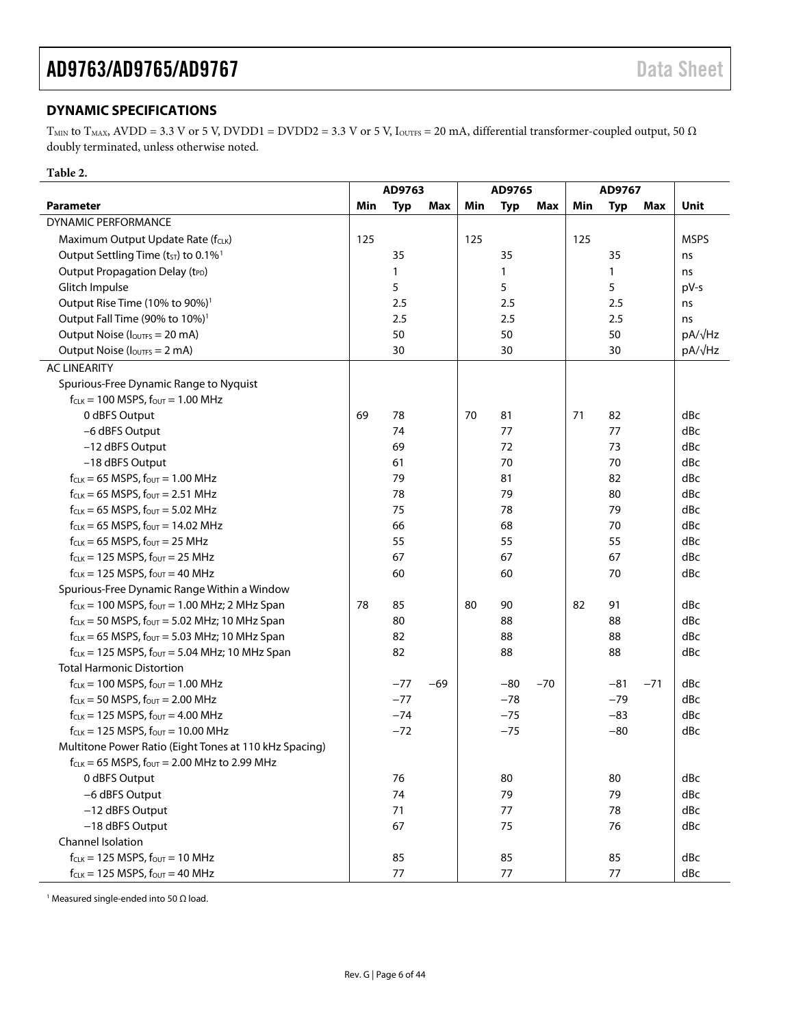## <span id="page-5-0"></span>**DYNAMIC SPECIFICATIONS**

T<sub>MIN</sub> to T<sub>MAX</sub>, AVDD = 3.3 V or 5 V, DVDD1 = DVDD2 = 3.3 V or 5 V, I<sub>OUTFS</sub> = 20 mA, differential transformer-coupled output, 50  $\Omega$ doubly terminated, unless otherwise noted.

### **Table 2.**

<span id="page-5-1"></span>

|                                                              | AD9763 |            | AD9765 |     | AD9767       |       |     |            |       |             |
|--------------------------------------------------------------|--------|------------|--------|-----|--------------|-------|-----|------------|-------|-------------|
| <b>Parameter</b>                                             | Min    | <b>Typ</b> | Max    | Min | <b>Typ</b>   | Max   | Min | <b>Typ</b> | Max   | Unit        |
| <b>DYNAMIC PERFORMANCE</b>                                   |        |            |        |     |              |       |     |            |       |             |
| Maximum Output Update Rate (fcLK)                            | 125    |            |        | 125 |              |       | 125 |            |       | <b>MSPS</b> |
| Output Settling Time (t <sub>ST</sub> ) to 0.1% <sup>1</sup> |        | 35         |        |     | 35           |       |     | 35         |       | ns          |
| Output Propagation Delay (tPD)                               |        | 1          |        |     | $\mathbf{1}$ |       |     | 1          |       | ns          |
| Glitch Impulse                                               |        | 5          |        |     | 5            |       |     | 5          |       | pV-s        |
| Output Rise Time (10% to 90%) <sup>1</sup>                   |        | 2.5        |        |     | 2.5          |       |     | 2.5        |       | ns          |
| Output Fall Time (90% to 10%) <sup>1</sup>                   |        | 2.5        |        |     | 2.5          |       |     | 2.5        |       | ns          |
| Output Noise (loutes = 20 mA)                                |        | 50         |        |     | 50           |       |     | 50         |       | pA/√Hz      |
| Output Noise (loutes = 2 mA)                                 |        | 30         |        |     | 30           |       |     | 30         |       | pA/√Hz      |
| <b>AC LINEARITY</b>                                          |        |            |        |     |              |       |     |            |       |             |
| Spurious-Free Dynamic Range to Nyquist                       |        |            |        |     |              |       |     |            |       |             |
| $f_{CLK}$ = 100 MSPS, $f_{OUT}$ = 1.00 MHz                   |        |            |        |     |              |       |     |            |       |             |
| 0 dBFS Output                                                | 69     | 78         |        | 70  | 81           |       | 71  | 82         |       | dBc         |
| -6 dBFS Output                                               |        | 74         |        |     | 77           |       |     | 77         |       | dBc         |
| -12 dBFS Output                                              |        | 69         |        |     | 72           |       |     | 73         |       | dBc         |
| -18 dBFS Output                                              |        | 61         |        |     | 70           |       |     | 70         |       | dBc         |
| $f_{CLK} = 65$ MSPS, $f_{OUT} = 1.00$ MHz                    |        | 79         |        |     | 81           |       |     | 82         |       | dBc         |
| $f_{CLK} = 65$ MSPS, $f_{OUT} = 2.51$ MHz                    |        | 78         |        |     | 79           |       |     | 80         |       | dBc         |
| $f_{CLK} = 65$ MSPS, $f_{OUT} = 5.02$ MHz                    |        | 75         |        |     | 78           |       |     | 79         |       | dBc         |
| $f_{CLK} = 65$ MSPS, $f_{OUT} = 14.02$ MHz                   |        | 66         |        |     | 68           |       |     | 70         |       | dBc         |
| $f_{CLK} = 65$ MSPS, $f_{OUT} = 25$ MHz                      |        | 55         |        |     | 55           |       |     | 55         |       | dBc         |
| $f_{CLK} = 125$ MSPS, $f_{OUT} = 25$ MHz                     |        | 67         |        |     | 67           |       |     | 67         |       | dBc         |
| $f_{CLK}$ = 125 MSPS, $f_{OUT}$ = 40 MHz                     |        | 60         |        |     | 60           |       |     | 70         |       | dBc         |
| Spurious-Free Dynamic Range Within a Window                  |        |            |        |     |              |       |     |            |       |             |
| $f_{CLK}$ = 100 MSPS, $f_{OUT}$ = 1.00 MHz; 2 MHz Span       | 78     | 85         |        | 80  | 90           |       | 82  | 91         |       | dBc         |
| $f_{CLK}$ = 50 MSPS, $f_{OUT}$ = 5.02 MHz; 10 MHz Span       |        | 80         |        |     | 88           |       |     | 88         |       | dBc         |
| $f_{CLK} = 65$ MSPS, $f_{OUT} = 5.03$ MHz; 10 MHz Span       |        | 82         |        |     | 88           |       |     | 88         |       | dBc         |
| $f_{CLK}$ = 125 MSPS, $f_{OUT}$ = 5.04 MHz; 10 MHz Span      |        | 82         |        |     | 88           |       |     | 88         |       | dBc         |
| <b>Total Harmonic Distortion</b>                             |        |            |        |     |              |       |     |            |       |             |
| $f_{CLK} = 100$ MSPS, $f_{OUT} = 1.00$ MHz                   |        | $-77$      | $-69$  |     | $-80$        | $-70$ |     | $-81$      | $-71$ | dBc         |
| $f_{CLK}$ = 50 MSPS, $f_{OUT}$ = 2.00 MHz                    |        | $-77$      |        |     | $-78$        |       |     | $-79$      |       | dBc         |
| $f_{CLK} = 125$ MSPS, $f_{OUT} = 4.00$ MHz                   |        | $-74$      |        |     | $-75$        |       |     | $-83$      |       | dBc         |
| $f_{CLK} = 125$ MSPS, $f_{OUT} = 10.00$ MHz                  |        | $-72$      |        |     | $-75$        |       |     | $-80$      |       | dBc         |
| Multitone Power Ratio (Eight Tones at 110 kHz Spacing)       |        |            |        |     |              |       |     |            |       |             |
| $f_{CLK} = 65$ MSPS, $f_{OUT} = 2.00$ MHz to 2.99 MHz        |        |            |        |     |              |       |     |            |       |             |
| 0 dBFS Output                                                |        | 76         |        |     | 80           |       |     | 80         |       | dBc         |
| -6 dBFS Output                                               |        | 74         |        |     | 79           |       |     | 79         |       | dBc         |
| -12 dBFS Output                                              |        | 71         |        |     | 77           |       |     | 78         |       | dBc         |
| -18 dBFS Output                                              |        | 67         |        |     | 75           |       |     | 76         |       | dBc         |
| Channel Isolation                                            |        |            |        |     |              |       |     |            |       |             |
| $f_{CLK} = 125$ MSPS, $f_{OUT} = 10$ MHz                     |        | 85         |        |     | 85           |       |     | 85         |       | dBc         |
| $f_{CLK} = 125$ MSPS, $f_{OUT} = 40$ MHz                     |        | 77         |        |     | 77           |       |     | 77         |       | dBc         |

<sup>1</sup> Measured single-ended into 50 Ω load.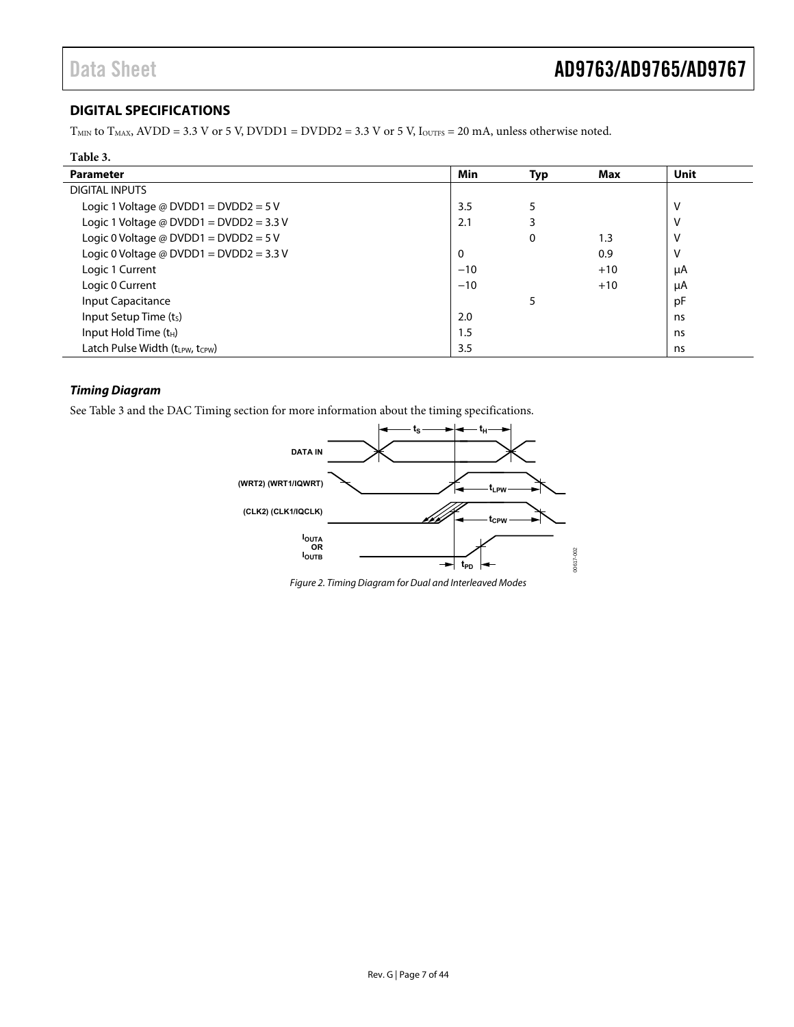## <span id="page-6-0"></span>**DIGITAL SPECIFICATIONS**

 $T<sub>MIN</sub>$  to  $T<sub>MAX</sub>$ , AVDD = 3.3 V or 5 V, DVDD1 = DVDD2 = 3.3 V or 5 V, IouTFs = 20 mA, unless otherwise noted.

<span id="page-6-1"></span>

| Table 3.                                |              |     |       |             |
|-----------------------------------------|--------------|-----|-------|-------------|
| <b>Parameter</b>                        | Min          | Typ | Max   | <b>Unit</b> |
| <b>DIGITAL INPUTS</b>                   |              |     |       |             |
| Logic 1 Voltage @ DVDD1 = DVDD2 = 5 V   | 3.5          | 5   |       | ν           |
| Logic 1 Voltage @ DVDD1 = DVDD2 = 3.3 V | 2.1          | 3   |       | ٧           |
| Logic 0 Voltage @ DVDD1 = DVDD2 = $5V$  |              | 0   | 1.3   | ٧           |
| Logic 0 Voltage @ DVDD1 = DVDD2 = 3.3 V | $\mathbf{0}$ |     | 0.9   | ٧           |
| Logic 1 Current                         | $-10$        |     | $+10$ | μA          |
| Logic 0 Current                         | $-10$        |     | $+10$ | μA          |
| Input Capacitance                       |              | 5   |       | рF          |
| Input Setup Time (ts)                   | 2.0          |     |       | ns          |
| Input Hold Time $(t_H)$                 | 1.5          |     |       | ns          |
| Latch Pulse Width (trew, tcew)          | 3.5          |     |       | ns          |

### **Timing Diagram**

See [Table 3](#page-6-1) and the [DAC Timing](#page-23-1) section for more information about the timing specifications.



Figure 2. Timing Diagram for Dual and Interleaved Modes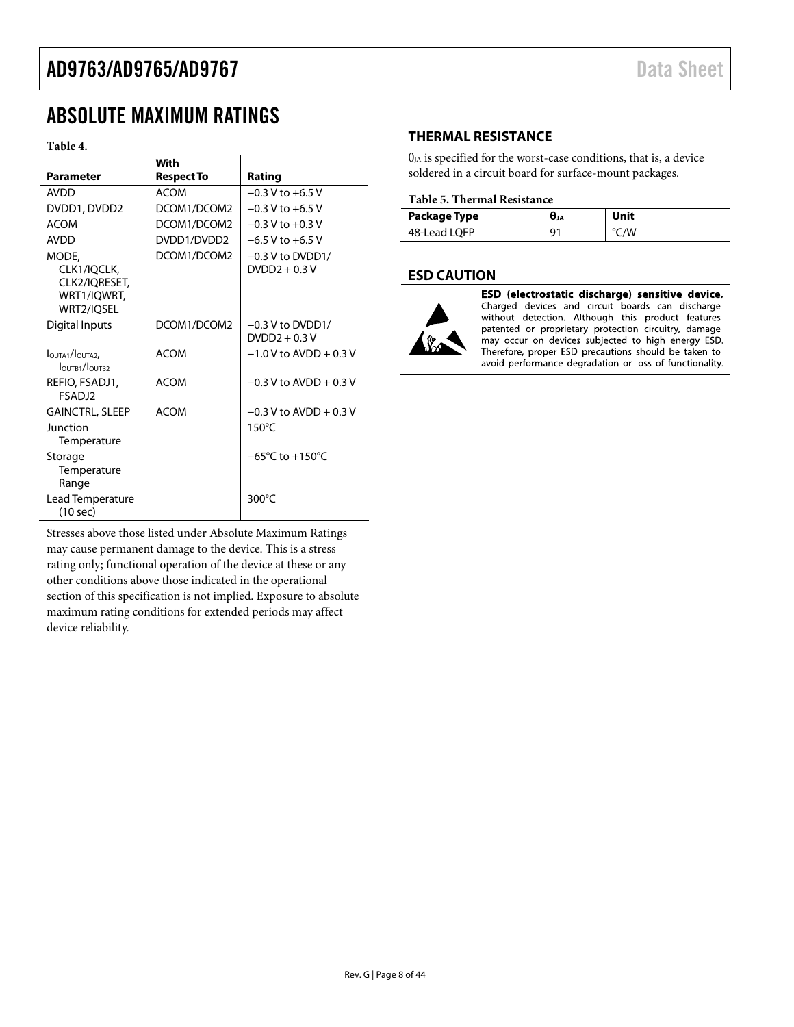# <span id="page-7-0"></span>ABSOLUTE MAXIMUM RATINGS

#### **Table 4.**

|                                      | With              |                                     |
|--------------------------------------|-------------------|-------------------------------------|
| <b>Parameter</b>                     | <b>Respect To</b> | Rating                              |
| <b>AVDD</b>                          | <b>ACOM</b>       | $-0.3$ V to $+6.5$ V                |
| DVDD1, DVDD2                         | DCOM1/DCOM2       | $-0.3$ V to $+6.5$ V                |
| <b>ACOM</b>                          | DCOM1/DCOM2       | $-0.3 V$ to $+0.3 V$                |
| <b>AVDD</b>                          | DVDD1/DVDD2       | $-6.5$ V to $+6.5$ V                |
| MODE.                                | DCOM1/DCOM2       | $-0.3$ V to DVDD1/                  |
| CLK1/IOCLK.                          |                   | $DVDD2 + 0.3V$                      |
| CLK2/IQRESET,                        |                   |                                     |
| WRT1/IOWRT.                          |                   |                                     |
| WRT2/IQSEL                           |                   |                                     |
| Digital Inputs                       | DCOM1/DCOM2       | $-0.3$ V to DVDD1/                  |
|                                      |                   | $DVDD2 + 0.3V$                      |
| OUTA1/OUTA2,<br>$I$ OUTR1/ $I$ OUTR2 | <b>ACOM</b>       | $-1.0$ V to AVDD + 0.3 V            |
| REFIO, FSADJ1,                       | <b>ACOM</b>       | $-0.3$ V to AVDD + 0.3 V            |
| <b>FSADJ2</b>                        |                   |                                     |
| <b>GAINCTRL, SLEEP</b>               | <b>ACOM</b>       | $-0.3$ V to AVDD + 0.3 V            |
| <b>Junction</b>                      |                   | 150°C                               |
| Temperature                          |                   |                                     |
| Storage                              |                   | $-65^{\circ}$ C to $+150^{\circ}$ C |
| Temperature                          |                   |                                     |
| Range                                |                   |                                     |
| Lead Temperature                     |                   | 300°C                               |
| (10 sec)                             |                   |                                     |

Stresses above those listed under Absolute Maximum Ratings may cause permanent damage to the device. This is a stress rating only; functional operation of the device at these or any other conditions above those indicated in the operational section of this specification is not implied. Exposure to absolute maximum rating conditions for extended periods may affect device reliability.

### **THERMAL RESISTANCE**

 $\theta_{JA}$  is specified for the worst-case conditions, that is, a device soldered in a circuit board for surface-mount packages.

### **Table 5. Thermal Resistance**

| Package Type | UJA | Unit |
|--------------|-----|------|
| 48-Lead LQFP | ۵   | /W   |

### **ESD CAUTION**



ESD (electrostatic discharge) sensitive device. Charged devices and circuit boards can discharge without detection. Although this product features patented or proprietary protection circuitry, damage may occur on devices subjected to high energy ESD. Therefore, proper ESD precautions should be taken to avoid performance degradation or loss of functionality.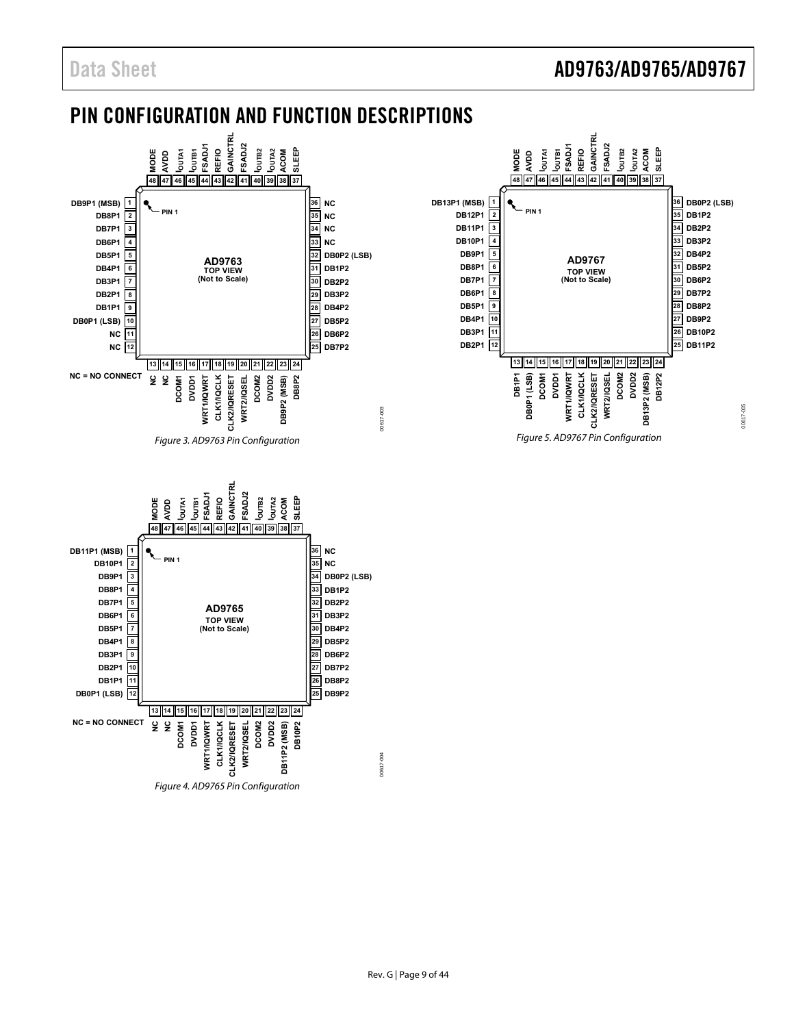00617-005

00617-005

# <span id="page-8-0"></span>PIN CONFIGURATION AND FUNCTION DESCRIPTIONS



Figure 4. AD9765 Pin Configuration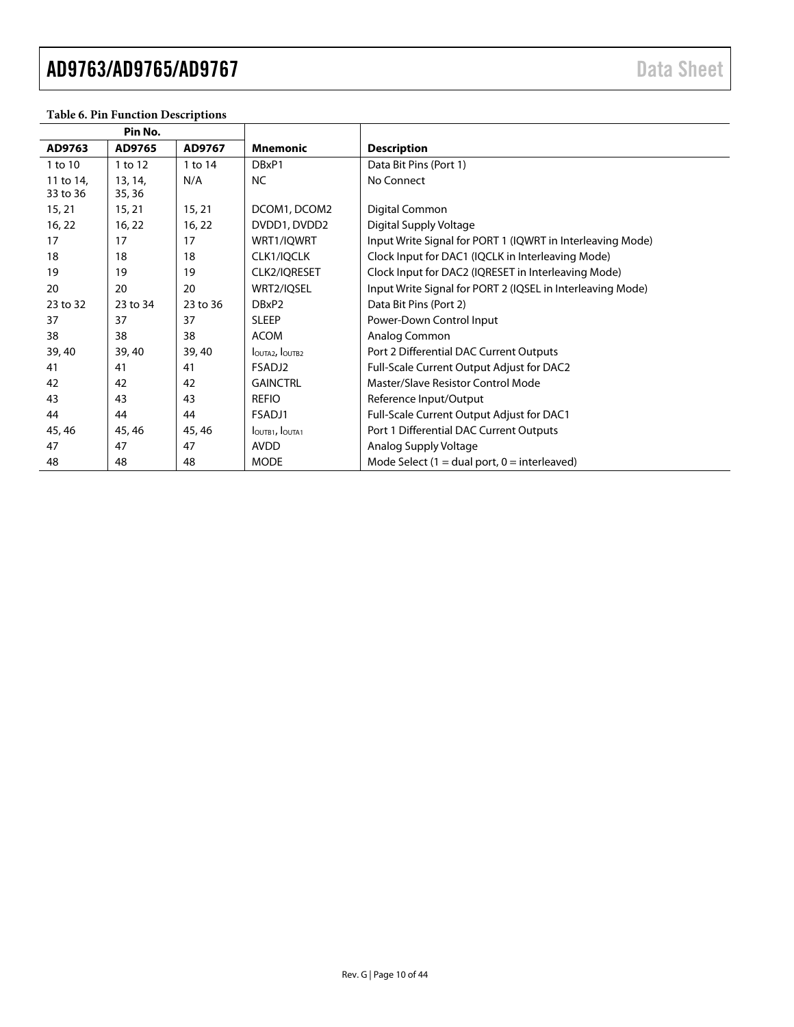| Pin No.   |          |          |                       |                                                            |
|-----------|----------|----------|-----------------------|------------------------------------------------------------|
| AD9763    | AD9765   | AD9767   | <b>Mnemonic</b>       | <b>Description</b>                                         |
| 1 to 10   | 1 to 12  | 1 to 14  | DBxP1                 | Data Bit Pins (Port 1)                                     |
| 11 to 14, | 13, 14,  | N/A      | <b>NC</b>             | No Connect                                                 |
| 33 to 36  | 35, 36   |          |                       |                                                            |
| 15, 21    | 15, 21   | 15, 21   | DCOM1, DCOM2          | Digital Common                                             |
| 16, 22    | 16, 22   | 16, 22   | DVDD1, DVDD2          | Digital Supply Voltage                                     |
| 17        | 17       | 17       | WRT1/IQWRT            | Input Write Signal for PORT 1 (IQWRT in Interleaving Mode) |
| 18        | 18       | 18       | CLK1/IQCLK            | Clock Input for DAC1 (IQCLK in Interleaving Mode)          |
| 19        | 19       | 19       | CLK2/IQRESET          | Clock Input for DAC2 (IQRESET in Interleaving Mode)        |
| 20        | 20       | 20       | WRT2/IQSEL            | Input Write Signal for PORT 2 (IQSEL in Interleaving Mode) |
| 23 to 32  | 23 to 34 | 23 to 36 | DBxP2                 | Data Bit Pins (Port 2)                                     |
| 37        | 37       | 37       | <b>SLEEP</b>          | Power-Down Control Input                                   |
| 38        | 38       | 38       | <b>ACOM</b>           | Analog Common                                              |
| 39, 40    | 39, 40   | 39, 40   | IOUTA2, IOUTB2        | Port 2 Differential DAC Current Outputs                    |
| 41        | 41       | 41       | FSADJ2                | Full-Scale Current Output Adjust for DAC2                  |
| 42        | 42       | 42       | <b>GAINCTRL</b>       | Master/Slave Resistor Control Mode                         |
| 43        | 43       | 43       | <b>REFIO</b>          | Reference Input/Output                                     |
| 44        | 44       | 44       | FSADJ1                | Full-Scale Current Output Adjust for DAC1                  |
| 45, 46    | 45, 46   | 45, 46   | <b>IOUTB1, IOUTA1</b> | Port 1 Differential DAC Current Outputs                    |
| 47        | 47       | 47       | <b>AVDD</b>           | Analog Supply Voltage                                      |
| 48        | 48       | 48       | <b>MODE</b>           | Mode Select (1 = dual port, $0 =$ interleaved)             |

### **Table 6. Pin Function Descriptions**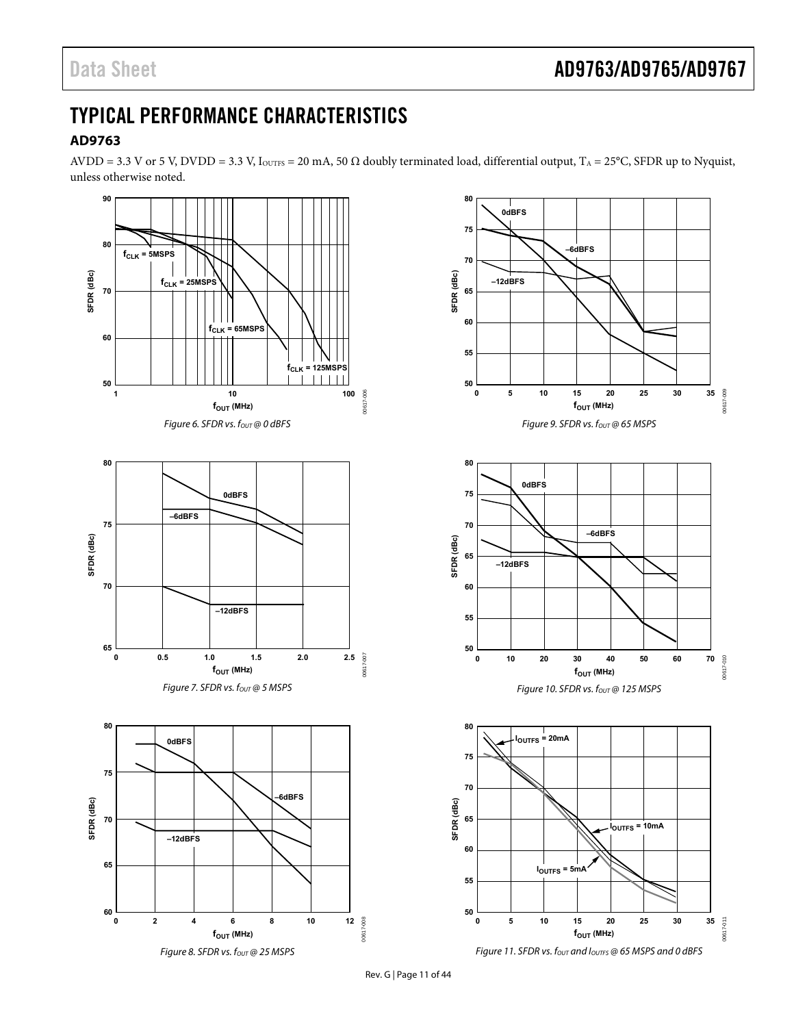# <span id="page-10-0"></span>TYPICAL PERFORMANCE CHARACTERISTICS

## **AD9763**

AVDD = 3.3 V or 5 V, DVDD = 3.3 V, I<sub>OUTFS</sub> = 20 mA, 50  $\Omega$  doubly terminated load, differential output, T<sub>A</sub> = 25°C, SFDR up to Nyquist, unless otherwise noted.

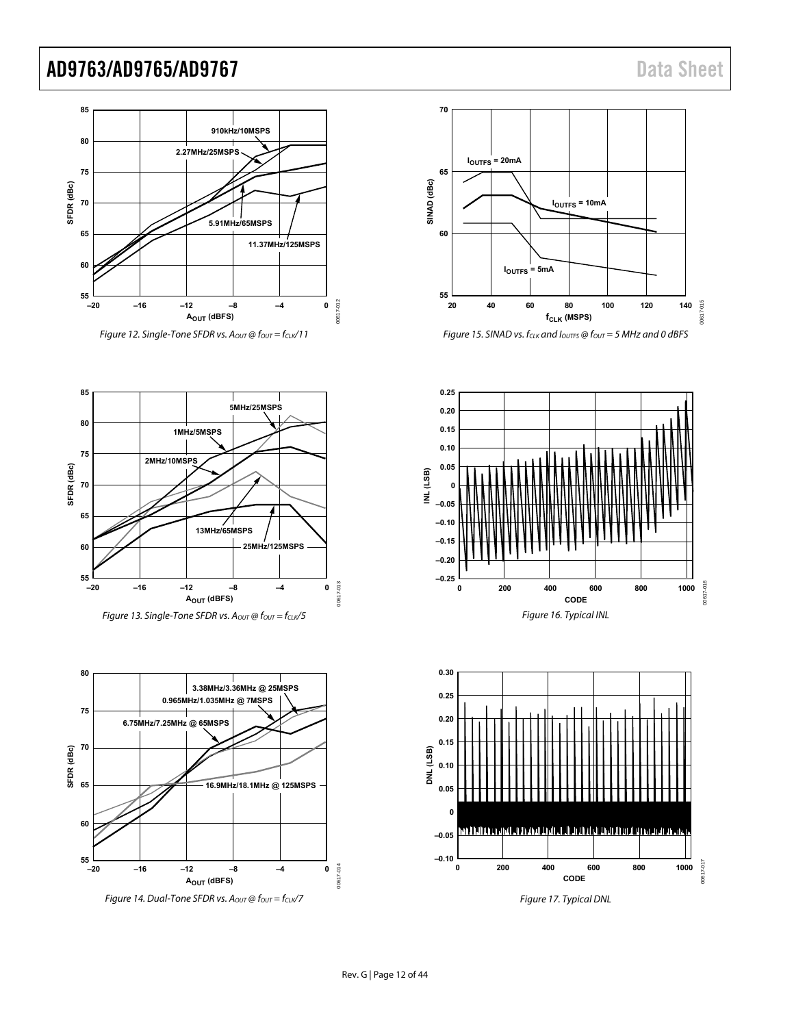



Figure 15. SINAD vs.  $f_{CLK}$  and  $I_{OUTFS}$  @  $f_{OUT}$  = 5 MHz and 0 dBFS





Figure 17. Typical DNL





Figure 14. Dual-Tone SFDR vs.  $A_{OUT}$  @  $f_{OUT} = f_{CLK}$ /7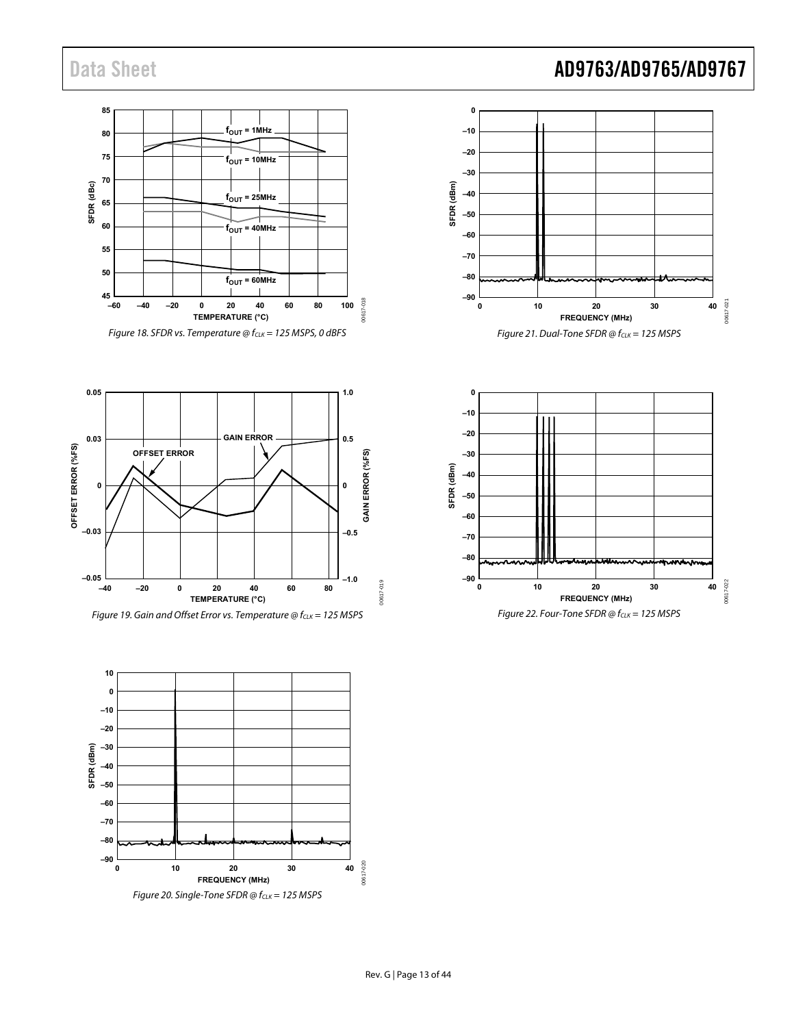**0.05**

**0.03**

**0**

**OFFSET ERROR**

**OFFSET ERROR (%FS)**

OFFSET ERROR (%FS)

**–0.05**

**–0.03**

#### **85**  $f_{OUT} = 1$ MHz **80 75 fOUT = 10MHz 70** SFDR (dBc) **SFDR (dBc)**  $f<sub>OUT</sub> = 25MHz$ **65 60**  $f_{\text{OUT}} = 40 \text{MHz}$ **55 50**  $f_{OUT} = 60$ MHz —ا 45<br>−60 00617-018 00617-018 **–60 –40 –20 0 20 40 60 80 100 TEMPERATURE (°C)** Figure 18. SFDR vs. Temperature  $@f_{CLK} = 125$  MSPS, 0 dBFS

SFDR (dBm) **SFDR (dBm) –50 –60 –70 –80 –90 0 10 20 30 4 FREQUENCY (MHz)** Figure 21. Dual-Tone SFDR @  $f_{CLK} = 125$  MSPS **1.0 0**

**–40 –30 –20 –10 0**





**GAIN ERROR**

**–40 –20 0 20 40 60 80**

**–1.0**

00617-019

00617-019

**–0.5**

**0.5**

**0**

**GAIN ERROR (%FS)**

**GAIN ERROR (%FS)** 



Figure 22. Four-Tone SFDR  $@f_{CLK} = 125$  MSPS

# Data Sheet **AD9763/AD9765/AD9767**

00617-021 **0**

00617-021

00617-022

00617-022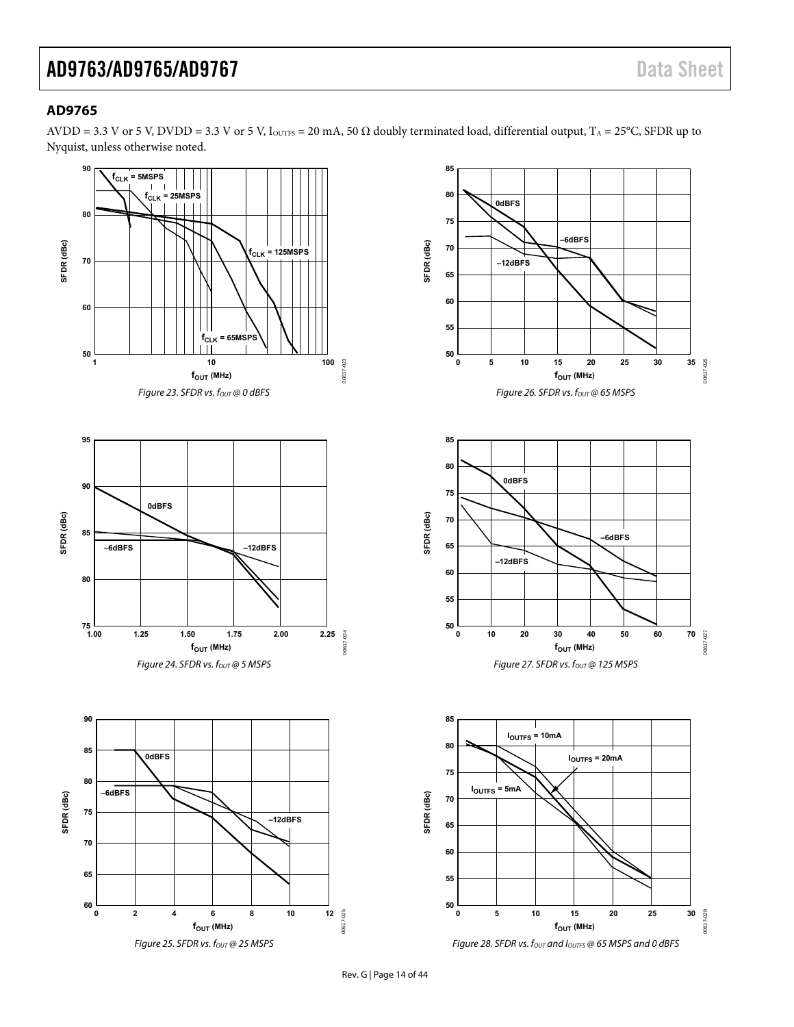### <span id="page-13-0"></span>**AD9765**

AVDD = 3.3 V or 5 V, DVDD = 3.3 V or 5 V, IouTFs = 20 mA, 50  $\Omega$  doubly terminated load, differential output, T<sub>A</sub> = 25°C, SFDR up to Nyquist, unless otherwise noted.

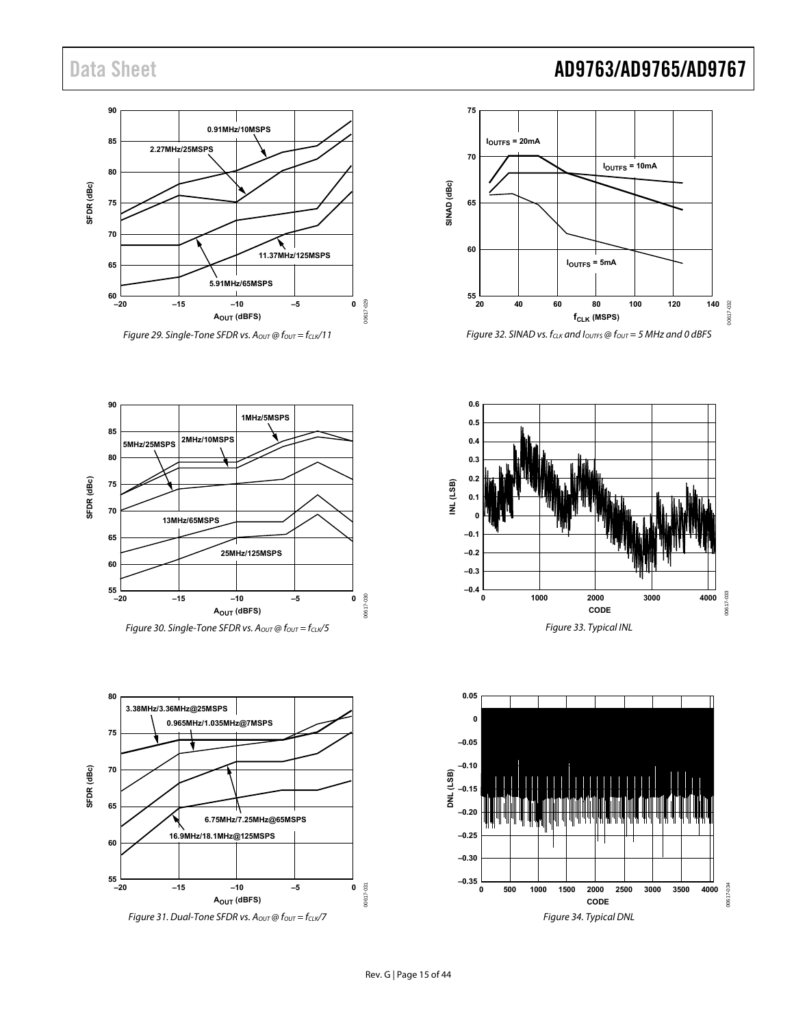



Figure 32. SINAD vs.  $f_{CLK}$  and  $I_{OUTFS}$  @  $f_{OUT}$  = 5 MHz and 0 dBFS



Figure 30. Single-Tone SFDR vs. Aout @  $f_{\text{OUT}} = f_{\text{CLK}}/5$ 





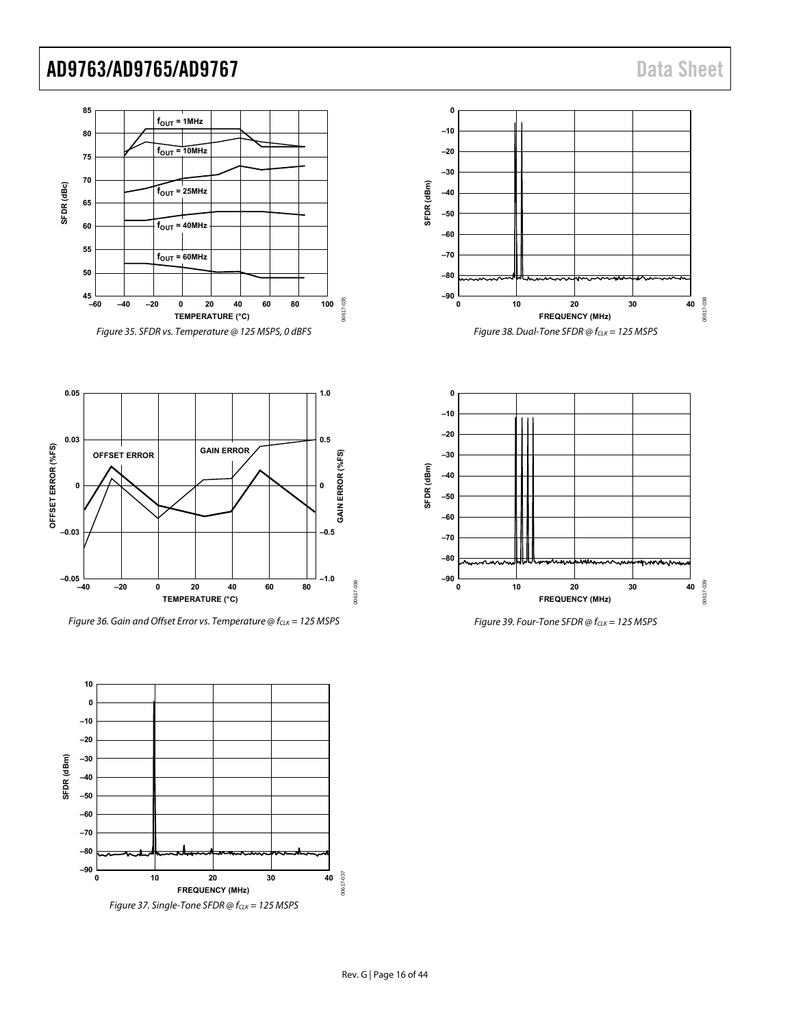



Figure 36. Gain and Offset Error vs. Temperature  $@f_{CLK} = 125$  MSPS







Figure 39. Four-Tone SFDR  $@f_{CLK} = 125$  MSPS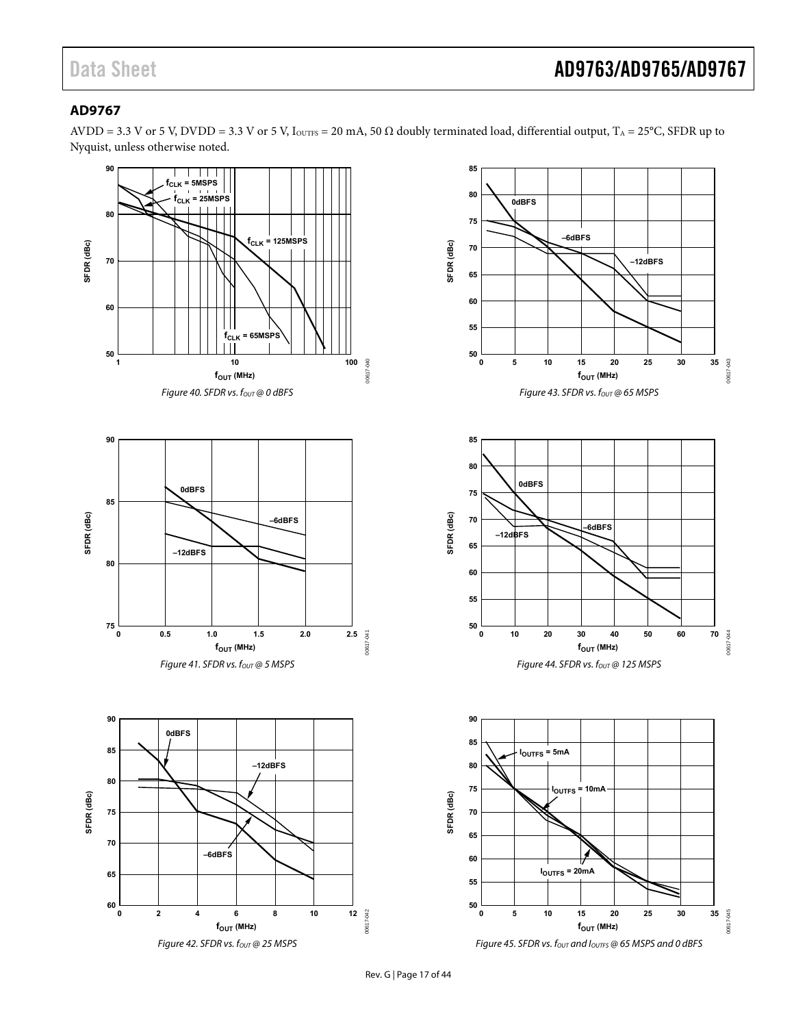## <span id="page-16-0"></span>**AD9767**

AVDD = 3.3 V or 5 V, DVDD = 3.3 V or 5 V, IouTFs = 20 mA, 50  $\Omega$  doubly terminated load, differential output, T<sub>A</sub> = 25°C, SFDR up to Nyquist, unless otherwise noted.

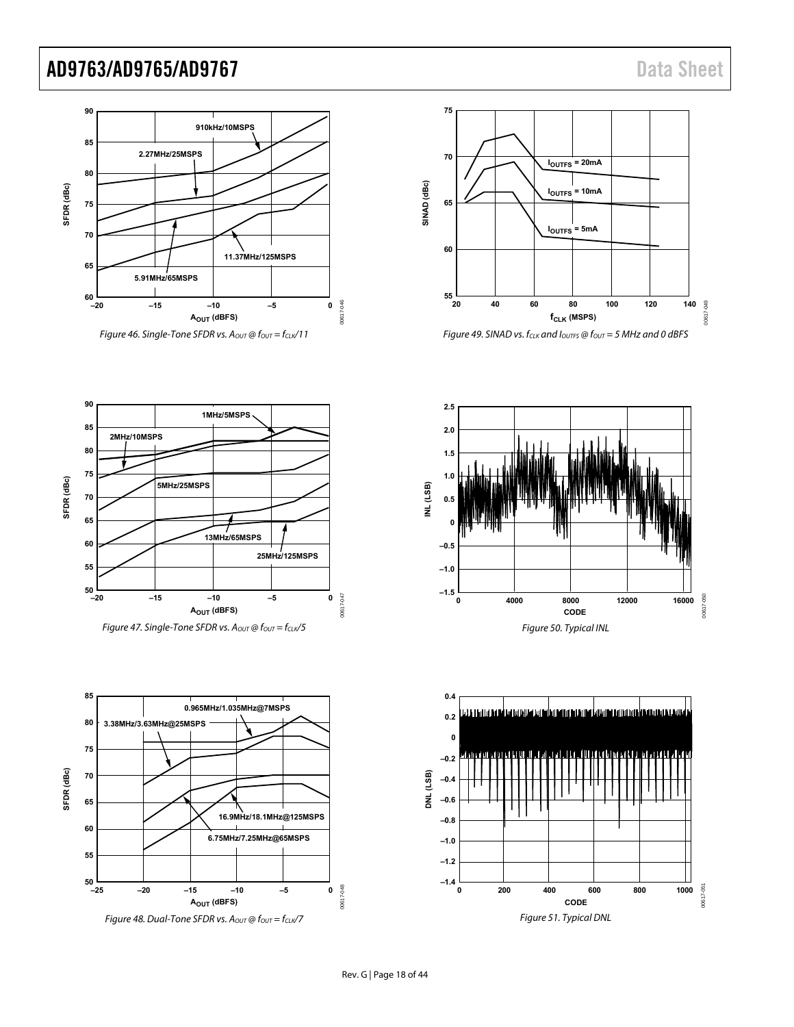





**2.5**









Rev. G | Page 18 of 44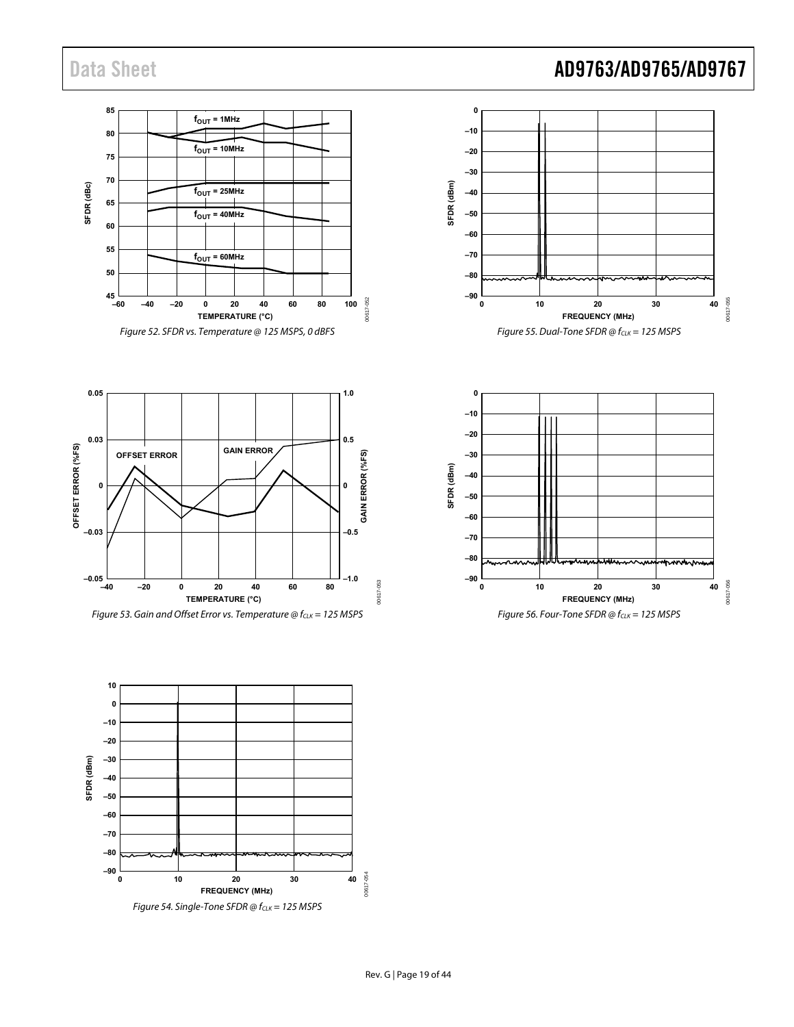#### **85**  $f_{OUT} = 1$ MHz **80**  $f_{OUT} = 10$ MHz **75 70** SFDR (dBc) **SFDR (dBc)**  $f<sub>OUT</sub> = 25MHz$ **65**  $f_{\text{OUT}} = 40 \text{MHz}$ **60 55**  $f<sub>OUT</sub> = 60MHz$ **50**  $45 - 60$ 00617-052 00617-052 **–60 –40 –20 0 20 40 60 80 100 TEMPERATURE (°C)** Figure 52. SFDR vs. Temperature @ 125 MSPS, 0 dBFS



**0.05 1.0 0.03 0.5** OFFSET ERROR (%FS) **OFFSET ERROR (%FS) GEFSET ERROR GAIN ERROR** GAIN ERROR (%FS) **GAIN ERROR (%FS) 0 0 –0.03 –0.5 –0.05 –1.0** 00617-053 00617-053 **–40 –20 0 20 40 60 80 TEMPERATURE (°C)**







# Data Sheet **AD9763/AD9765/AD9767**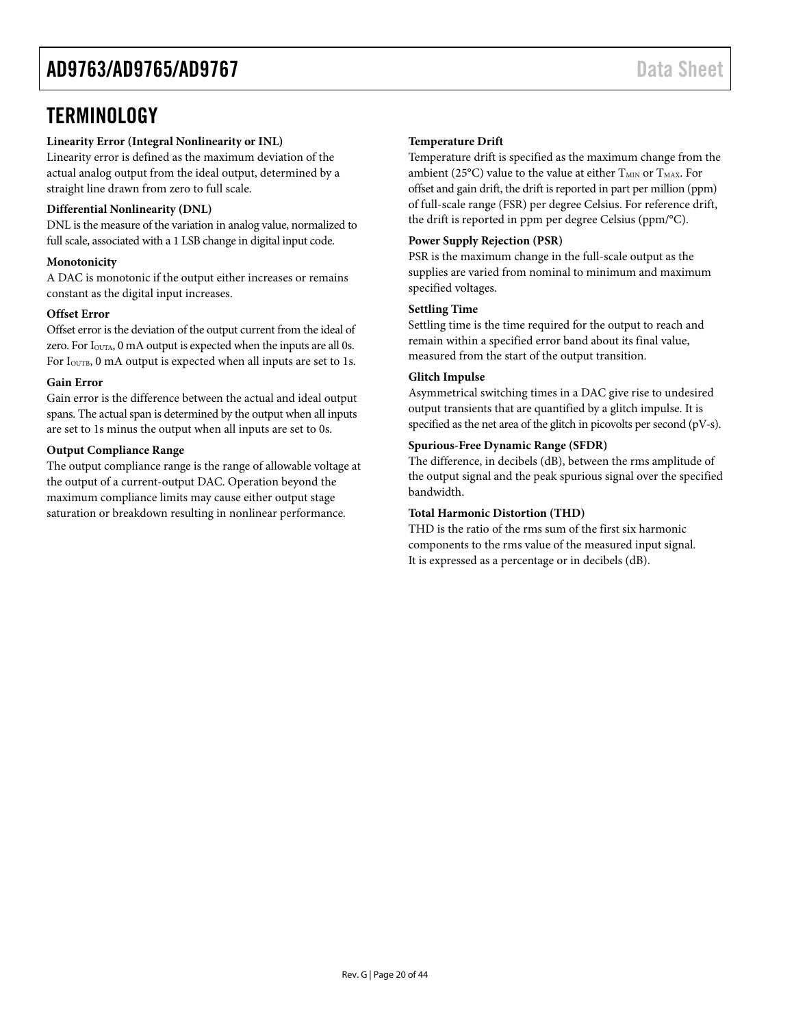# <span id="page-19-0"></span>**TERMINOLOGY**

### **Linearity Error (Integral Nonlinearity or INL)**

Linearity error is defined as the maximum deviation of the actual analog output from the ideal output, determined by a straight line drawn from zero to full scale.

#### **Differential Nonlinearity (DNL)**

DNL is the measure of the variation in analog value, normalized to full scale, associated with a 1 LSB change in digital input code.

#### **Monotonicity**

A DAC is monotonic if the output either increases or remains constant as the digital input increases.

#### **Offset Error**

Offset error is the deviation of the output current from the ideal of zero. For I<sub>OUTA</sub>, 0 mA output is expected when the inputs are all 0s. For I<sub>OUTB</sub>, 0 mA output is expected when all inputs are set to 1s.

#### **Gain Error**

Gain error is the difference between the actual and ideal output spans. The actual span is determined by the output when all inputs are set to 1s minus the output when all inputs are set to 0s.

#### **Output Compliance Range**

The output compliance range is the range of allowable voltage at the output of a current-output DAC. Operation beyond the maximum compliance limits may cause either output stage saturation or breakdown resulting in nonlinear performance.

### **Temperature Drift**

Temperature drift is specified as the maximum change from the ambient (25°C) value to the value at either  $T_{MIN}$  or  $T_{MAX}$ . For offset and gain drift, the drift is reported in part per million (ppm) of full-scale range (FSR) per degree Celsius. For reference drift, the drift is reported in ppm per degree Celsius (ppm/°C).

#### **Power Supply Rejection (PSR)**

PSR is the maximum change in the full-scale output as the supplies are varied from nominal to minimum and maximum specified voltages.

#### **Settling Time**

Settling time is the time required for the output to reach and remain within a specified error band about its final value, measured from the start of the output transition.

#### **Glitch Impulse**

Asymmetrical switching times in a DAC give rise to undesired output transients that are quantified by a glitch impulse. It is specified as the net area of the glitch in picovolts per second (pV-s).

### **Spurious-Free Dynamic Range (SFDR)**

The difference, in decibels (dB), between the rms amplitude of the output signal and the peak spurious signal over the specified bandwidth.

### **Total Harmonic Distortion (THD)**

THD is the ratio of the rms sum of the first six harmonic components to the rms value of the measured input signal. It is expressed as a percentage or in decibels (dB).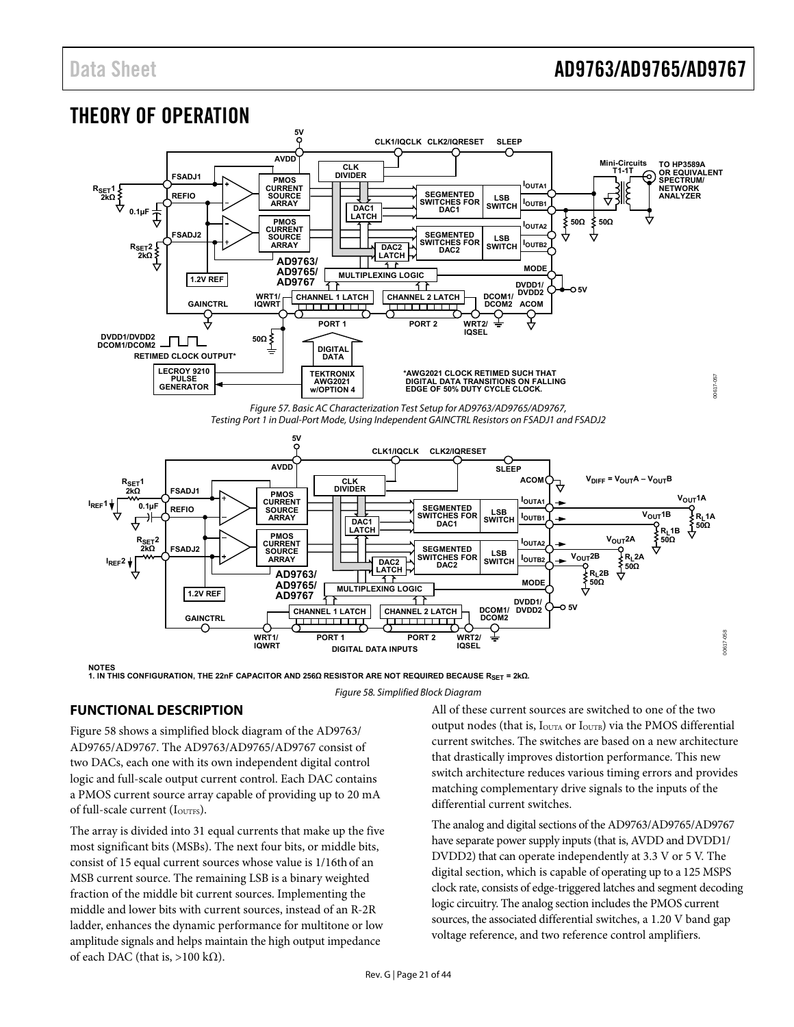# <span id="page-20-0"></span>THEORY OF OPERATION



Figure 57. Basic AC Characterization Test Setup for AD9763/AD9765/AD9767, Testing Port 1 in Dual-Port Mode, Using Independent GAINCTRL Resistors on FSADJ1 and FSADJ2

<span id="page-20-2"></span>

**NOTES 1. IN THIS CONFIGURATION, THE 22nF CAPACITOR AND 256Ω RESISTOR ARE NOT REQUIRED BECAUSE RSET = 2kΩ.**

### <span id="page-20-1"></span>**FUNCTIONAL DESCRIPTION**

[Figure 58](#page-20-1) shows a simplified block diagram of the AD9763/ AD9765/AD9767. The AD9763/AD9765/AD9767 consist of two DACs, each one with its own independent digital control logic and full-scale output current control. Each DAC contains a PMOS current source array capable of providing up to 20 mA of full-scale current (IOUTFS).

The array is divided into 31 equal currents that make up the five most significant bits (MSBs). The next four bits, or middle bits, consist of 15 equal current sources whose value is 1/16thof an MSB current source. The remaining LSB is a binary weighted fraction of the middle bit current sources. Implementing the middle and lower bits with current sources, instead of an R-2R ladder, enhances the dynamic performance for multitone or low amplitude signals and helps maintain the high output impedance of each DAC (that is, >100 k $\Omega$ ).

#### Figure 58. Simplified Block Diagram

All of these current sources are switched to one of the two output nodes (that is,  $I_{\text{OUTA}}$  or  $I_{\text{OUTB}}$ ) via the PMOS differential current switches. The switches are based on a new architecture that drastically improves distortion performance. This new switch architecture reduces various timing errors and provides matching complementary drive signals to the inputs of the differential current switches.

The analog and digital sections of the AD9763/AD9765/AD9767 have separate power supply inputs (that is, AVDD and DVDD1/ DVDD2) that can operate independently at 3.3 V or 5 V. The digital section, which is capable of operating up to a 125 MSPS clock rate, consists of edge-triggered latches and segment decoding logic circuitry. The analog section includes the PMOS current sources, the associated differential switches, a 1.20 V band gap voltage reference, and two reference control amplifiers.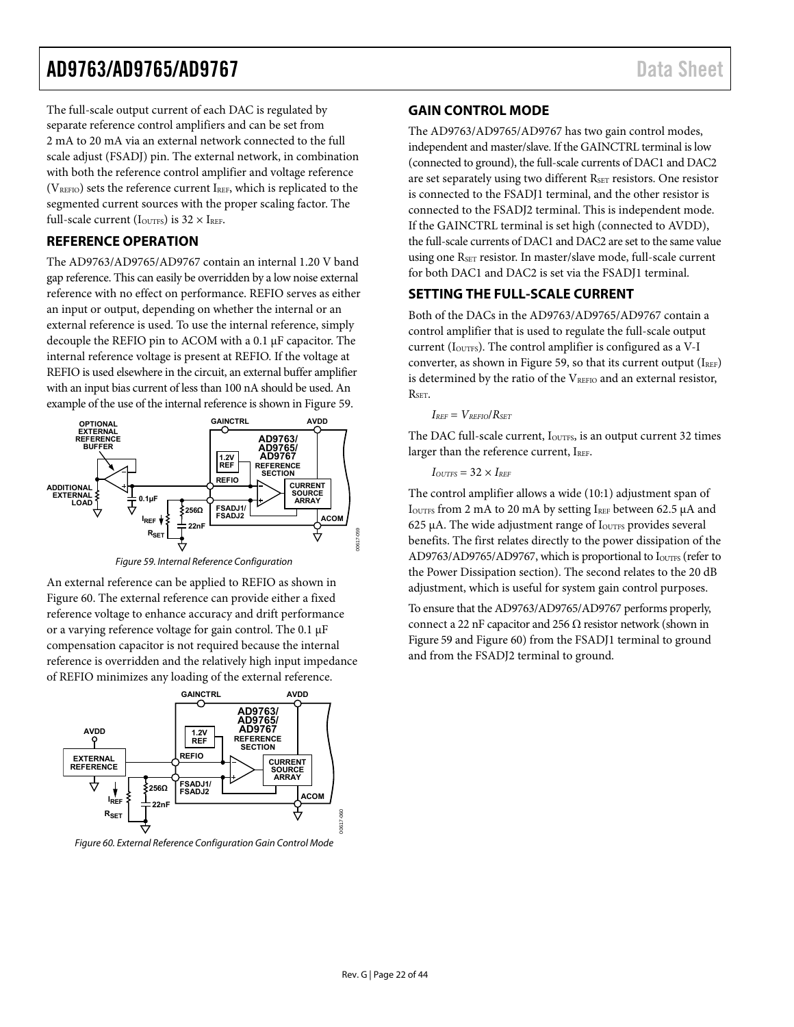<span id="page-21-1"></span>The full-scale output current of each DAC is regulated by separate reference control amplifiers and can be set from 2 mA to 20 mA via an external network connected to the full scale adjust (FSADJ) pin. The external network, in combination with both the reference control amplifier and voltage reference  $(V<sub>REFO</sub>)$  sets the reference current IREF, which is replicated to the segmented current sources with the proper scaling factor. The full-scale current ( $I_{\text{OUTFS}}$ ) is  $32 \times I_{\text{REF}}$ .

### **REFERENCE OPERATION**

<span id="page-21-3"></span>The AD9763/AD9765/AD9767 contain an internal 1.20 V band gap reference. This can easily be overridden by a low noise external reference with no effect on performance. REFIO serves as either an input or output, depending on whether the internal or an external reference is used. To use the internal reference, simply decouple the REFIO pin to ACOM with a 0.1 μF capacitor. The internal reference voltage is present at REFIO. If the voltage at REFIO is used elsewhere in the circuit, an external buffer amplifier with an input bias current of less than 100 nA should be used. An example of the use of the internal reference is shown in [Figure 59](#page-21-2).



Figure 59. Internal Reference Configuration

<span id="page-21-2"></span>An external reference can be applied to REFIO as shown in [Figure 60](#page-21-0). The external reference can provide either a fixed reference voltage to enhance accuracy and drift performance or a varying reference voltage for gain control. The 0.1 μF compensation capacitor is not required because the internal reference is overridden and the relatively high input impedance of REFIO minimizes any loading of the external reference.



<span id="page-21-0"></span>Figure 60. External Reference Configuration Gain Control Mode

### **GAIN CONTROL MODE**

The AD9763/AD9765/AD9767 has two gain control modes, independent and master/slave. If the GAINCTRL terminal is low (connected to ground), the full-scale currents of DAC1 and DAC2 are set separately using two different RSET resistors. One resistor is connected to the FSADJ1 terminal, and the other resistor is connected to the FSADJ2 terminal. This is independent mode. If the GAINCTRL terminal is set high (connected to AVDD), the full-scale currents of DAC1 and DAC2 are set to the same value using one R<sub>SET</sub> resistor. In master/slave mode, full-scale current for both DAC1 and DAC2 is set via the FSADJ1 terminal.

### **SETTING THE FULL-SCALE CURRENT**

Both of the DACs in the AD9763/AD9765/AD9767 contain a control amplifier that is used to regulate the full-scale output current ( $I<sub>OUTFS</sub>$ ). The control amplifier is configured as a V-I converter, as shown in [Figure 59](#page-21-2), so that its current output  $(I_{REF})$ is determined by the ratio of the VREFIO and an external resistor, RSET.

#### $I_{REF} = V_{REFIO}/R_{SET}$

The DAC full-scale current, I<sub>OUTFS</sub>, is an output current 32 times larger than the reference current,  $I_{REF}$ .

```
I_{OUTFS} = 32 \times I_{REF}
```
The control amplifier allows a wide (10:1) adjustment span of IOUTFS from 2 mA to 20 mA by setting IREF between 62.5  $\mu$ A and 625 μA. The wide adjustment range of IOUTFS provides several benefits. The first relates directly to the power dissipation of the AD9763/AD9765/AD9767, which is proportional to IouTFS (refer to the [Power Dissipation](#page-25-1) section). The second relates to the 20 dB adjustment, which is useful for system gain control purposes.

To ensure that the AD9763/AD9765/AD9767 performs properly, connect a 22 nF capacitor and 256  $\Omega$  resistor network (shown in [Figure 59](#page-21-2) and [Figure 60](#page-21-0)) from the FSADJ1 terminal to ground and from the FSADJ2 terminal to ground.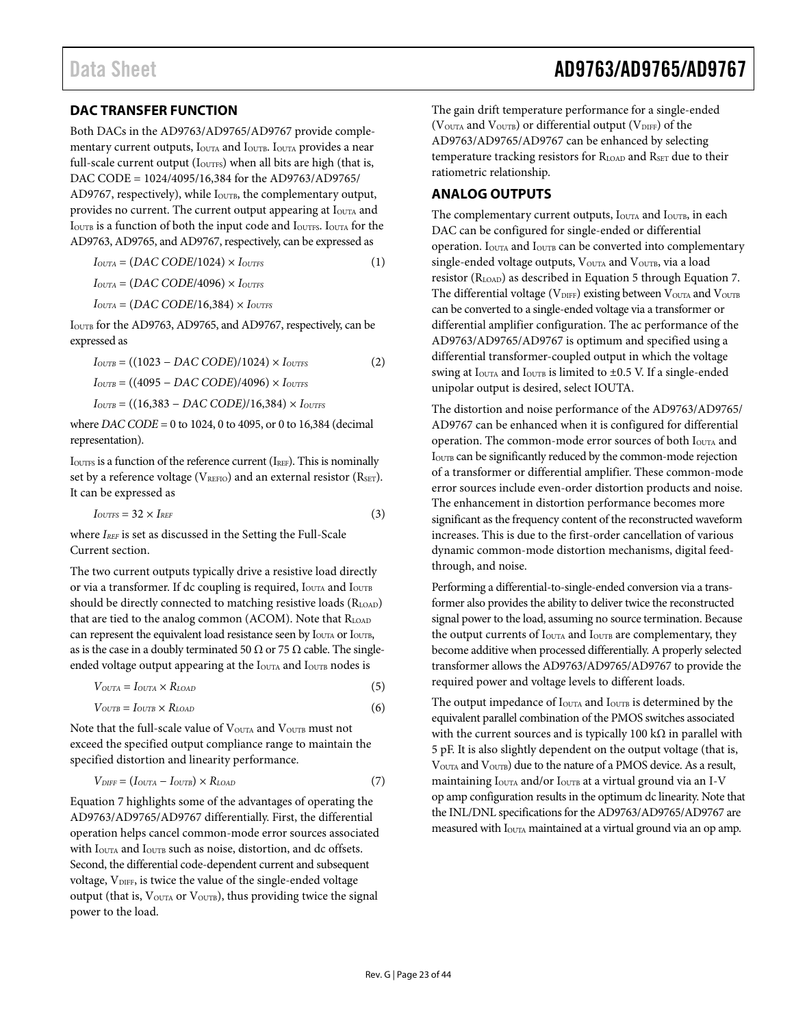### <span id="page-22-0"></span>**DAC TRANSFER FUNCTION**

<span id="page-22-1"></span>Both DACs in the AD9763/AD9765/AD9767 provide complementary current outputs, I<sub>OUTA</sub> and I<sub>OUTB</sub>. I<sub>OUTA</sub> provides a near full-scale current output ( $I_{\text{OUTFS}}$ ) when all bits are high (that is, DAC CODE = 1024/4095/16,384 for the AD9763/AD9765/ AD9767, respectively), while I<sub>OUTB</sub>, the complementary output, provides no current. The current output appearing at I<sub>OUTA</sub> and IOUTB is a function of both the input code and IOUTFS. IOUTA for the AD9763, AD9765, and AD9767, respectively, can be expressed as

 $I_{OUTA} = (DAC CODE/1024) \times I_{OUTFS}$  (1)  $I_{OUTA} = (DAC CODE/4096) \times I_{OUTFS}$  $I_{OUTA} = (DAC CODE/16,384) \times I_{OUTFS}$ 

IOUTB for the AD9763, AD9765, and AD9767, respectively, can be expressed as

$$
I_{\text{OUTB}} = ((1023 - DAC \, CODE)/1024) \times I_{\text{OUTFS}} \tag{2}
$$
\n
$$
I_{\text{OUTB}} = ((4095 - DAC \, CODE)/4096) \times I_{\text{OUTFS}}
$$
\n
$$
I_{\text{OUTB}} = ((16,383 - DAC \, CODE)/16,384) \times I_{\text{OUTFS}}
$$

where *DAC CODE* = 0 to 1024, 0 to 4095, or 0 to 16,384 (decimal representation).

IOUTFS is a function of the reference current (IREF). This is nominally set by a reference voltage (VREFIO) and an external resistor (RSET). It can be expressed as

 $I_{OUTFS} = 32 \times I_{REF}$  (3)

where *IREF* is set as discussed in the [Setting the Full-Scale](#page-21-3)  [Current](#page-21-3) section.

The two current outputs typically drive a resistive load directly or via a transformer. If dc coupling is required, I<sub>OUTA</sub> and I<sub>OUTB</sub> should be directly connected to matching resistive loads (RLOAD) that are tied to the analog common (ACOM). Note that RLOAD can represent the equivalent load resistance seen by I<sub>OUTA</sub> or I<sub>OUTB</sub>, as is the case in a doubly terminated 50  $\Omega$  or 75  $\Omega$  cable. The singleended voltage output appearing at the I<sub>OUTA</sub> and I<sub>OUTB</sub> nodes is

$$
V_{OUTA} = I_{OUTA} \times R_{LOAD}
$$
 (5)

$$
V_{\text{OUTB}} = I_{\text{OUTB}} \times R_{\text{LOAD}} \tag{6}
$$

Note that the full-scale value of V<sub>OUTA</sub> and V<sub>OUTB</sub> must not exceed the specified output compliance range to maintain the specified distortion and linearity performance.

$$
V_{\text{DIFF}} = (I_{\text{OUTA}} - I_{\text{OUTB}}) \times R_{\text{LOAD}} \tag{7}
$$

Equation 7 highlights some of the advantages of operating the AD9763/AD9765/AD9767 differentially. First, the differential operation helps cancel common-mode error sources associated with I<sub>OUTA</sub> and I<sub>OUTB</sub> such as noise, distortion, and dc offsets. Second, the differential code-dependent current and subsequent voltage, V<sub>DIFF</sub>, is twice the value of the single-ended voltage output (that is,  $V_{\text{OUTA}}$  or  $V_{\text{OUTB}}$ ), thus providing twice the signal power to the load.

The gain drift temperature performance for a single-ended (VOUTA and VOUTB) or differential output (VDIFF) of the AD9763/AD9765/AD9767 can be enhanced by selecting temperature tracking resistors for RLOAD and RSET due to their ratiometric relationship.

### **ANALOG OUTPUTS**

The complementary current outputs,  $I<sub>OUTA</sub>$  and  $I<sub>OUTB</sub>$ , in each DAC can be configured for single-ended or differential operation. IOUTA and IOUTB can be converted into complementary single-ended voltage outputs, V<sub>OUTA</sub> and V<sub>OUTB</sub>, via a load resistor (RLOAD) as described in Equation 5 through Equation 7. The differential voltage (VDIFF) existing between VOUTA and VOUTB can be converted to a single-ended voltage via a transformer or differential amplifier configuration. The ac performance of the AD9763/AD9765/AD9767 is optimum and specified using a differential transformer-coupled output in which the voltage swing at  $I_{\text{OUTA}}$  and  $I_{\text{OUTB}}$  is limited to  $\pm 0.5$  V. If a single-ended unipolar output is desired, select IOUTA.

The distortion and noise performance of the AD9763/AD9765/ AD9767 can be enhanced when it is configured for differential operation. The common-mode error sources of both I<sub>OUTA</sub> and IOUTB can be significantly reduced by the common-mode rejection of a transformer or differential amplifier. These common-mode error sources include even-order distortion products and noise. The enhancement in distortion performance becomes more significant as the frequency content of the reconstructed waveform increases. This is due to the first-order cancellation of various dynamic common-mode distortion mechanisms, digital feedthrough, and noise.

Performing a differential-to-single-ended conversion via a transformer also provides the ability to deliver twice the reconstructed signal power to the load, assuming no source termination. Because the output currents of I<sub>OUTA</sub> and I<sub>OUTB</sub> are complementary, they become additive when processed differentially. A properly selected transformer allows the AD9763/AD9765/AD9767 to provide the required power and voltage levels to different loads.

The output impedance of I<sub>OUTA</sub> and I<sub>OUTB</sub> is determined by the equivalent parallel combination of the PMOS switches associated with the current sources and is typically 100 k $\Omega$  in parallel with 5 pF. It is also slightly dependent on the output voltage (that is,  $V<sub>OUTA</sub>$  and  $V<sub>OUTB</sub>$ ) due to the nature of a PMOS device. As a result, maintaining I<sub>OUTA</sub> and/or I<sub>OUTB</sub> at a virtual ground via an I-V op amp configuration results in the optimum dc linearity. Note that the INL/DNL specifications for the AD9763/AD9765/AD9767 are measured with I<sub>OUTA</sub> maintained at a virtual ground via an op amp.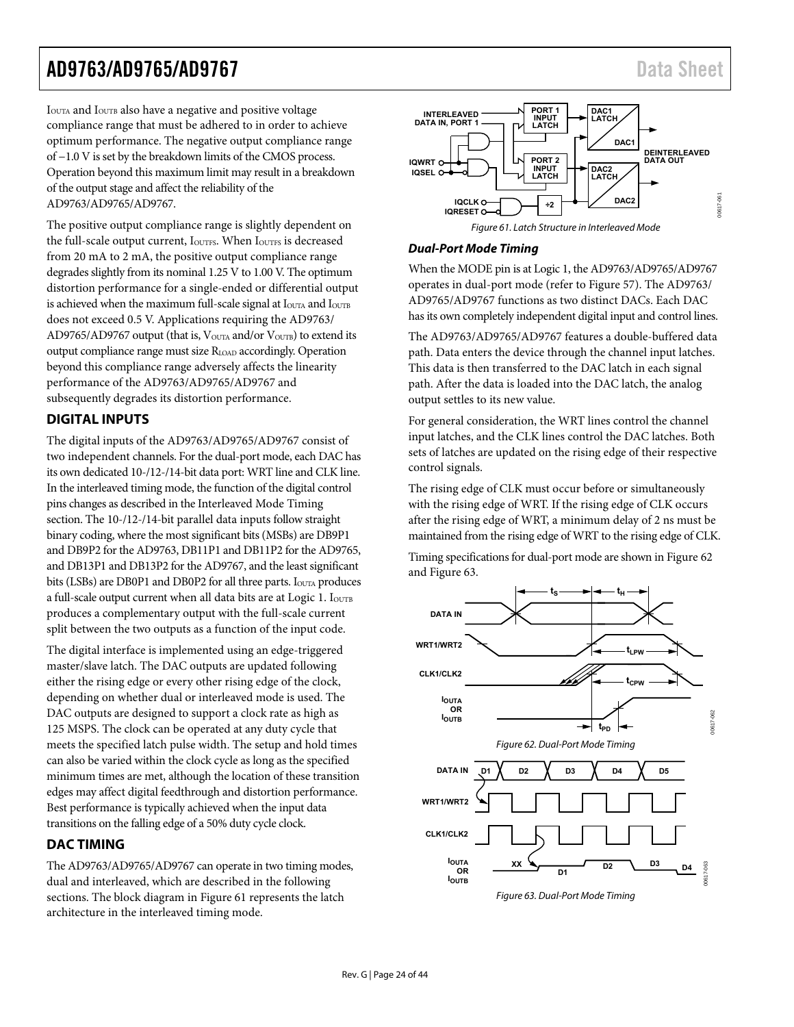<span id="page-23-0"></span>IOUTA and IOUTB also have a negative and positive voltage compliance range that must be adhered to in order to achieve optimum performance. The negative output compliance range of −1.0 V is set by the breakdown limits of the CMOS process. Operation beyond this maximum limit may result in a breakdown of the output stage and affect the reliability of the AD9763/AD9765/AD9767.

<span id="page-23-2"></span>The positive output compliance range is slightly dependent on the full-scale output current, I<sub>OUTFS</sub>. When I<sub>OUTFS</sub> is decreased from 20 mA to 2 mA, the positive output compliance range degrades slightly from its nominal 1.25 V to 1.00 V. The optimum distortion performance for a single-ended or differential output is achieved when the maximum full-scale signal at  $I<sub>OUTA</sub>$  and  $I<sub>OUTB</sub>$ does not exceed 0.5 V. Applications requiring the AD9763/ AD9765/AD9767 output (that is,  $V_{\text{OUTA}}$  and/or  $V_{\text{OUTB}}$ ) to extend its output compliance range must size RLOAD accordingly. Operation beyond this compliance range adversely affects the linearity performance of the AD9763/AD9765/AD9767 and subsequently degrades its distortion performance.

### **DIGITAL INPUTS**

The digital inputs of the AD9763/AD9765/AD9767 consist of two independent channels. For the dual-port mode, each DAC has its own dedicated 10-/12-/14-bit data port: WRT line and CLK line. In the interleaved timing mode, the function of the digital control pins changes as described in the [Interleaved Mode Timing](#page-24-0) section. The 10-/12-/14-bit parallel data inputs follow straight binary coding, where the most significant bits (MSBs) are DB9P1 and DB9P2 for the AD9763, DB11P1 and DB11P2 for the AD9765, and DB13P1 and DB13P2 for the AD9767, and the least significant bits (LSBs) are DB0P1 and DB0P2 for all three parts. I<sub>OUTA</sub> produces a full-scale output current when all data bits are at Logic 1. IOUTB produces a complementary output with the full-scale current split between the two outputs as a function of the input code.

<span id="page-23-3"></span>The digital interface is implemented using an edge-triggered master/slave latch. The DAC outputs are updated following either the rising edge or every other rising edge of the clock, depending on whether dual or interleaved mode is used. The DAC outputs are designed to support a clock rate as high as 125 MSPS. The clock can be operated at any duty cycle that meets the specified latch pulse width. The setup and hold times can also be varied within the clock cycle as long as the specified minimum times are met, although the location of these transition edges may affect digital feedthrough and distortion performance. Best performance is typically achieved when the input data transitions on the falling edge of a 50% duty cycle clock.

### <span id="page-23-1"></span>**DAC TIMING**

<span id="page-23-4"></span>The AD9763/AD9765/AD9767 can operate in two timing modes, dual and interleaved, which are described in the following sections. The block diagram in [Figure 61](#page-23-2) represents the latch architecture in the interleaved timing mode.



#### **Dual-Port Mode Timing**

When the MODE pin is at Logic 1, the AD9763/AD9765/AD9767 operates in dual-port mode (refer to [Figure 57](#page-20-2)). The AD9763/ AD9765/AD9767 functions as two distinct DACs. Each DAC has its own completely independent digital input and control lines.

The AD9763/AD9765/AD9767 features a double-buffered data path. Data enters the device through the channel input latches. This data is then transferred to the DAC latch in each signal path. After the data is loaded into the DAC latch, the analog output settles to its new value.

For general consideration, the WRT lines control the channel input latches, and the CLK lines control the DAC latches. Both sets of latches are updated on the rising edge of their respective control signals.

The rising edge of CLK must occur before or simultaneously with the rising edge of WRT. If the rising edge of CLK occurs after the rising edge of WRT, a minimum delay of 2 ns must be maintained from the rising edge of WRT to the rising edge of CLK.

Timing specifications for dual-port mode are shown in [Figure 62](#page-23-3) and [Figure 63.](#page-23-4)

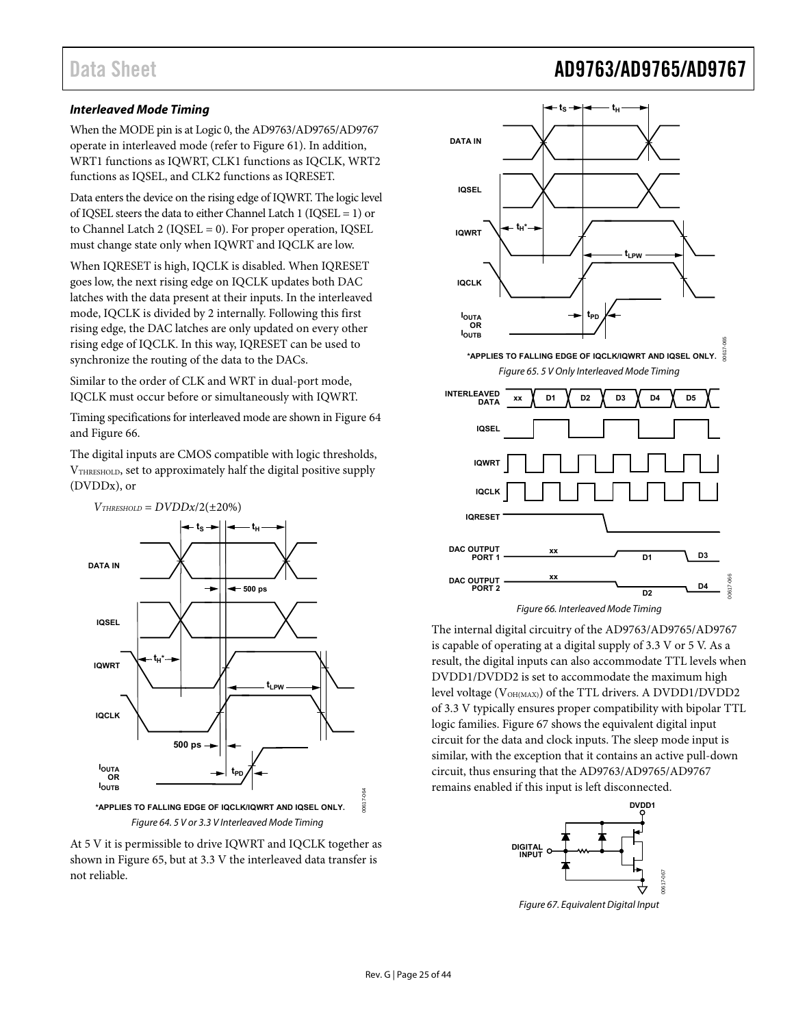### <span id="page-24-0"></span>**Interleaved Mode Timing**

When the MODE pin is at Logic 0, the AD9763/AD9765/AD9767 operate in interleaved mode (refer to [Figure 61\)](#page-23-2). In addition, WRT1 functions as IQWRT, CLK1 functions as IQCLK, WRT2 functions as IQSEL, and CLK2 functions as IQRESET.

Data enters the device on the rising edge of IQWRT. The logic level of IQSEL steers the data to either Channel Latch 1 (IQSEL = 1) or to Channel Latch 2 (IQSEL = 0). For proper operation, IQSEL must change state only when IQWRT and IQCLK are low.

When IQRESET is high, IQCLK is disabled. When IQRESET goes low, the next rising edge on IQCLK updates both DAC latches with the data present at their inputs. In the interleaved mode, IQCLK is divided by 2 internally. Following this first rising edge, the DAC latches are only updated on every other rising edge of IQCLK. In this way, IQRESET can be used to synchronize the routing of the data to the DACs.

<span id="page-24-3"></span>Similar to the order of CLK and WRT in dual-port mode, IQCLK must occur before or simultaneously with IQWRT.

Timing specifications for interleaved mode are shown in [Figure 64](#page-24-1) and [Figure 66.](#page-24-2)

The digital inputs are CMOS compatible with logic thresholds, VTHRESHOLD, set to approximately half the digital positive supply (DVDDx), or

<span id="page-24-2"></span>

<span id="page-24-4"></span><span id="page-24-1"></span>





The internal digital circuitry of the AD9763/AD9765/AD9767 is capable of operating at a digital supply of 3.3 V or 5 V. As a result, the digital inputs can also accommodate TTL levels when DVDD1/DVDD2 is set to accommodate the maximum high level voltage (V<sub>OH(MAX)</sub>) of the TTL drivers. A DVDD1/DVDD2 of 3.3 V typically ensures proper compatibility with bipolar TTL logic families. [Figure 67](#page-24-4) shows the equivalent digital input circuit for the data and clock inputs. The sleep mode input is similar, with the exception that it contains an active pull-down circuit, thus ensuring that the AD9763/AD9765/AD9767 remains enabled if this input is left disconnected.



Figure 67. Equivalent Digital Input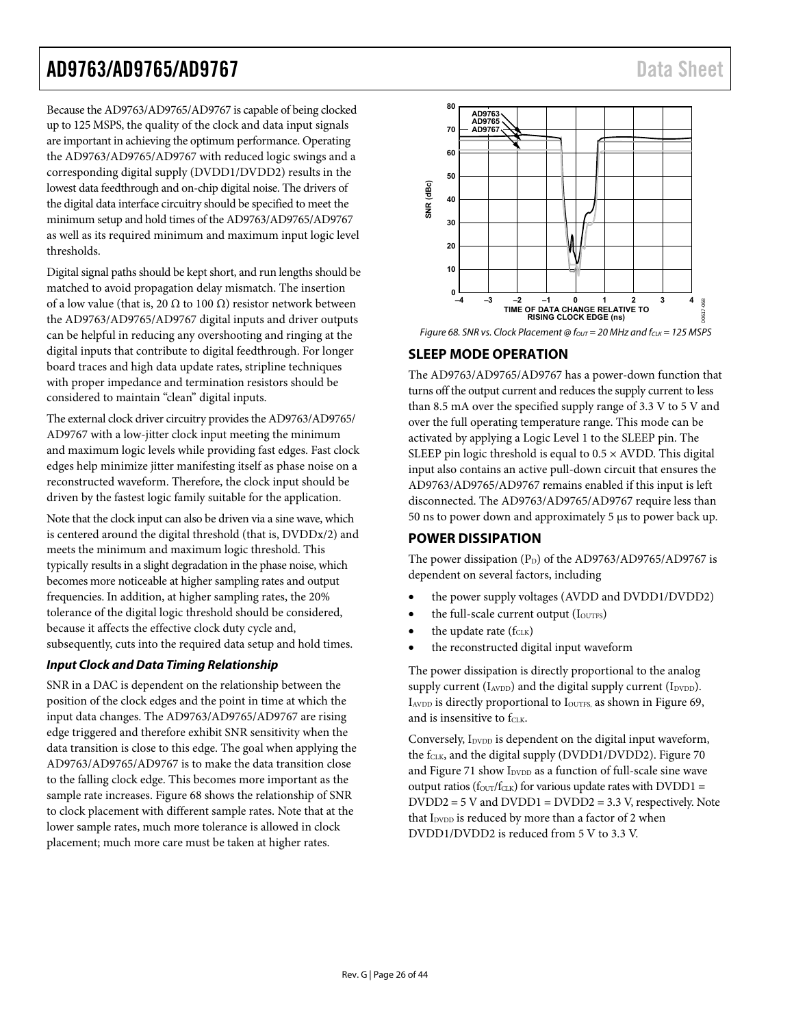<span id="page-25-0"></span>Because the AD9763/AD9765/AD9767 is capable of being clocked up to 125 MSPS, the quality of the clock and data input signals are important in achieving the optimum performance. Operating the AD9763/AD9765/AD9767 with reduced logic swings and a corresponding digital supply (DVDD1/DVDD2) results in the lowest data feedthrough and on-chip digital noise. The drivers of the digital data interface circuitry should be specified to meet the minimum setup and hold times of the AD9763/AD9765/AD9767 as well as its required minimum and maximum input logic level thresholds.

<span id="page-25-2"></span>Digital signal paths should be kept short, and run lengths should be matched to avoid propagation delay mismatch. The insertion of a low value (that is, 20  $\Omega$  to 100  $\Omega$ ) resistor network between the AD9763/AD9765/AD9767 digital inputs and driver outputs can be helpful in reducing any overshooting and ringing at the digital inputs that contribute to digital feedthrough. For longer board traces and high data update rates, stripline techniques with proper impedance and termination resistors should be considered to maintain "clean" digital inputs.

The external clock driver circuitry provides the AD9763/AD9765/ AD9767 with a low-jitter clock input meeting the minimum and maximum logic levels while providing fast edges. Fast clock edges help minimize jitter manifesting itself as phase noise on a reconstructed waveform. Therefore, the clock input should be driven by the fastest logic family suitable for the application.

<span id="page-25-1"></span>Note that the clock input can also be driven via a sine wave, which is centered around the digital threshold (that is, DVDDx/2) and meets the minimum and maximum logic threshold. This typically results in a slight degradation in the phase noise, which becomes more noticeable at higher sampling rates and output frequencies. In addition, at higher sampling rates, the 20% tolerance of the digital logic threshold should be considered, because it affects the effective clock duty cycle and, subsequently, cuts into the required data setup and hold times.

### **Input Clock and Data Timing Relationship**

SNR in a DAC is dependent on the relationship between the position of the clock edges and the point in time at which the input data changes. The AD9763/AD9765/AD9767 are rising edge triggered and therefore exhibit SNR sensitivity when the data transition is close to this edge. The goal when applying the AD9763/AD9765/AD9767 is to make the data transition close to the falling clock edge. This becomes more important as the sample rate increases. [Figure 68](#page-25-2) shows the relationship of SNR to clock placement with different sample rates. Note that at the lower sample rates, much more tolerance is allowed in clock placement; much more care must be taken at higher rates.



Figure 68. SNR vs. Clock Placement @  $f_{OUT} = 20$  MHz and  $f_{CLK} = 125$  MSPS

### **SLEEP MODE OPERATION**

The AD9763/AD9765/AD9767 has a power-down function that turns off the output current and reduces the supply current to less than 8.5 mA over the specified supply range of 3.3 V to 5 V and over the full operating temperature range. This mode can be activated by applying a Logic Level 1 to the SLEEP pin. The SLEEP pin logic threshold is equal to  $0.5 \times$  AVDD. This digital input also contains an active pull-down circuit that ensures the AD9763/AD9765/AD9767 remains enabled if this input is left disconnected. The AD9763/AD9765/AD9767 require less than 50 ns to power down and approximately 5 μs to power back up.

### **POWER DISSIPATION**

The power dissipation  $(P_D)$  of the AD9763/AD9765/AD9767 is dependent on several factors, including

- the power supply voltages (AVDD and DVDD1/DVDD2)
- the full-scale current output (IOUTFS)
- the update rate  $(f_{CLK})$
- the reconstructed digital input waveform

The power dissipation is directly proportional to the analog supply current  $(I_{AVDD})$  and the digital supply current  $(I_{DVDD})$ .  $I_{AVDD}$  is directly proportional to  $I_{\text{OUTFS}}$ , as shown in [Figure 69](#page-26-0), and is insensitive to fCLK.

Conversely,  $I_{\text{DVDD}}$  is dependent on the digital input waveform, the f<sub>CLK</sub>, and the digital supply (DVDD1/DVDD2). [Figure 70](#page-26-1) and [Figure 71](#page-26-2) show I<sub>DVDD</sub> as a function of full-scale sine wave output ratios ( $f_{\text{OUT}}/f_{\text{CLK}}$ ) for various update rates with DVDD1 =  $DVDD2 = 5$  V and  $DVDD1 = DVDD2 = 3.3$  V, respectively. Note that I<sub>DVDD</sub> is reduced by more than a factor of 2 when DVDD1/DVDD2 is reduced from 5 V to 3.3 V.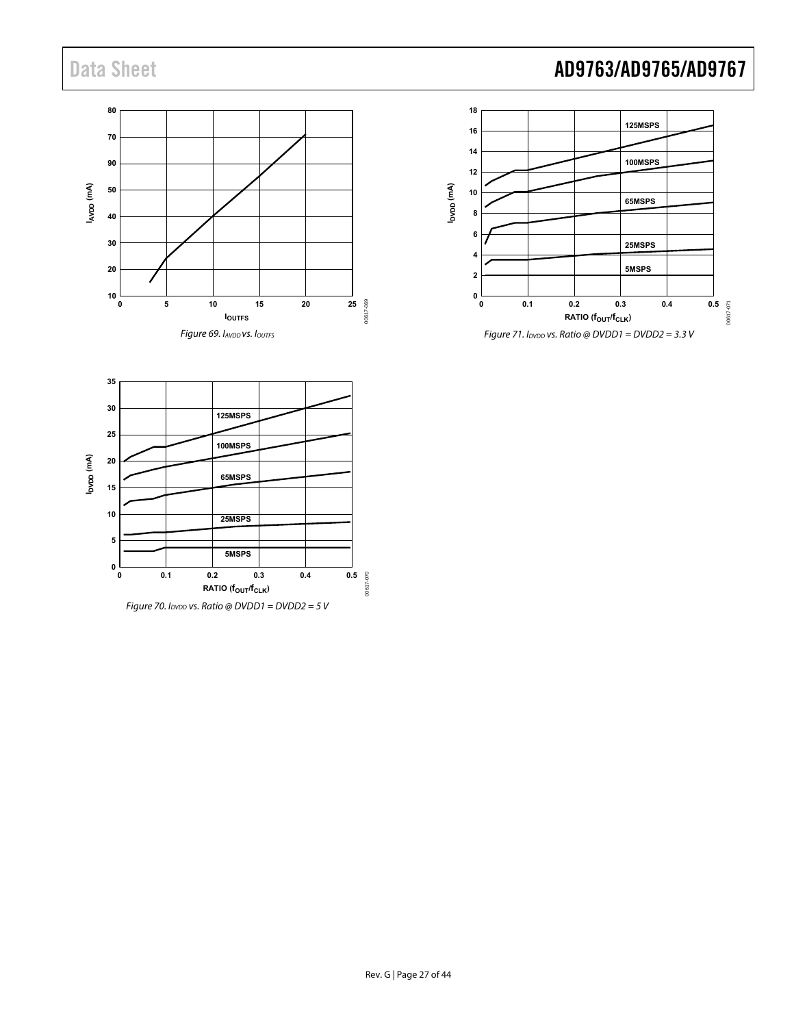



<span id="page-26-2"></span><span id="page-26-1"></span><span id="page-26-0"></span>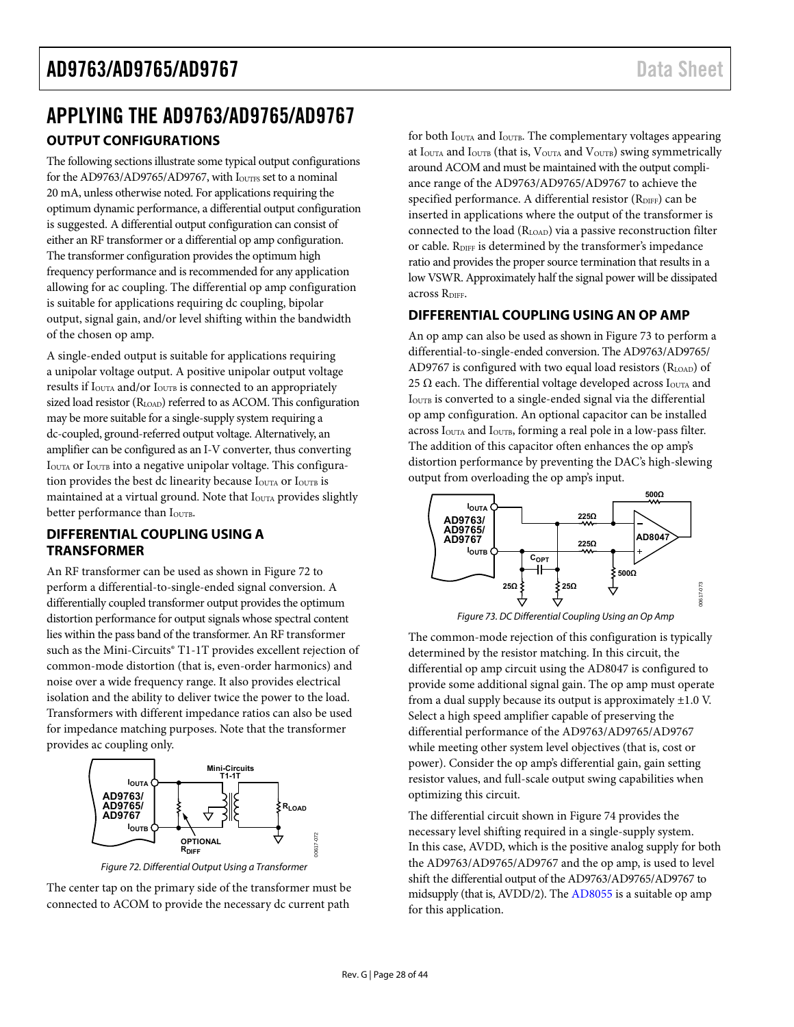# <span id="page-27-0"></span>APPLYING THE AD9763/AD9765/AD9767 **OUTPUT CONFIGURATIONS**

The following sections illustrate some typical output configurations for the AD9763/AD9765/AD9767, with IouTFs set to a nominal 20 mA, unless otherwise noted. For applications requiring the optimum dynamic performance, a differential output configuration is suggested. A differential output configuration can consist of either an RF transformer or a differential op amp configuration. The transformer configuration provides the optimum high frequency performance and is recommended for any application allowing for ac coupling. The differential op amp configuration is suitable for applications requiring dc coupling, bipolar output, signal gain, and/or level shifting within the bandwidth of the chosen op amp.

A single-ended output is suitable for applications requiring a unipolar voltage output. A positive unipolar output voltage results if I<sub>OUTA</sub> and/or I<sub>OUTB</sub> is connected to an appropriately sized load resistor (RLOAD) referred to as ACOM. This configuration may be more suitable for a single-supply system requiring a dc-coupled, ground-referred output voltage. Alternatively, an amplifier can be configured as an I-V converter, thus converting I<sub>OUTA</sub> or I<sub>OUTB</sub> into a negative unipolar voltage. This configuration provides the best dc linearity because I<sub>OUTA</sub> or I<sub>OUTB</sub> is maintained at a virtual ground. Note that I<sub>OUTA</sub> provides slightly better performance than IOUTB.

### **DIFFERENTIAL COUPLING USING A TRANSFORMER**

<span id="page-27-2"></span>An RF transformer can be used as shown in [Figure 72](#page-27-1) to perform a differential-to-single-ended signal conversion. A differentially coupled transformer output provides the optimum distortion performance for output signals whose spectral content lies within the pass band of the transformer. An RF transformer such as the Mini-Circuits<sup>®</sup> T1-1T provides excellent rejection of common-mode distortion (that is, even-order harmonics) and noise over a wide frequency range. It also provides electrical isolation and the ability to deliver twice the power to the load. Transformers with different impedance ratios can also be used for impedance matching purposes. Note that the transformer provides ac coupling only.



Figure 72. Differential Output Using a Transformer

<span id="page-27-1"></span>The center tap on the primary side of the transformer must be connected to ACOM to provide the necessary dc current path

for both I<sub>OUTA</sub> and I<sub>OUTB</sub>. The complementary voltages appearing at  $I<sub>OUTA</sub>$  and  $I<sub>OUTB</sub>$  (that is,  $V<sub>OUTA</sub>$  and  $V<sub>OUTB</sub>$ ) swing symmetrically around ACOM and must be maintained with the output compliance range of the AD9763/AD9765/AD9767 to achieve the specified performance. A differential resistor (RDIFF) can be inserted in applications where the output of the transformer is connected to the load (R<sub>LOAD</sub>) via a passive reconstruction filter or cable. RDIFF is determined by the transformer's impedance ratio and provides the proper source termination that results in a low VSWR. Approximately half the signal power will be dissipated across RDIFF.

### **DIFFERENTIAL COUPLING USING AN OP AMP**

An op amp can also be used as shown in [Figure 73](#page-27-2) to perform a differential-to-single-ended conversion. The AD9763/AD9765/ AD9767 is configured with two equal load resistors  $(R<sub>LOAD</sub>)$  of 25  $\Omega$  each. The differential voltage developed across I<sub>OUTA</sub> and IOUTB is converted to a single-ended signal via the differential op amp configuration. An optional capacitor can be installed across I<sub>OUTA</sub> and I<sub>OUTB</sub>, forming a real pole in a low-pass filter. The addition of this capacitor often enhances the op amp's distortion performance by preventing the DAC's high-slewing output from overloading the op amp's input.



Figure 73. DC Differential Coupling Using an Op Amp

The common-mode rejection of this configuration is typically determined by the resistor matching. In this circuit, the differential op amp circuit using the AD8047 is configured to provide some additional signal gain. The op amp must operate from a dual supply because its output is approximately  $\pm 1.0$  V. Select a high speed amplifier capable of preserving the differential performance of the AD9763/AD9765/AD9767 while meeting other system level objectives (that is, cost or power). Consider the op amp's differential gain, gain setting resistor values, and full-scale output swing capabilities when optimizing this circuit.

The differential circuit shown in [Figure 74](#page-28-1) provides the necessary level shifting required in a single-supply system. In this case, AVDD, which is the positive analog supply for both the AD9763/AD9765/AD9767 and the op amp, is used to level shift the differential output of the AD9763/AD9765/AD9767 to midsupply (that is, AVDD/2). The [AD8055](http://www.analog.com/AD8055) is a suitable op amp for this application.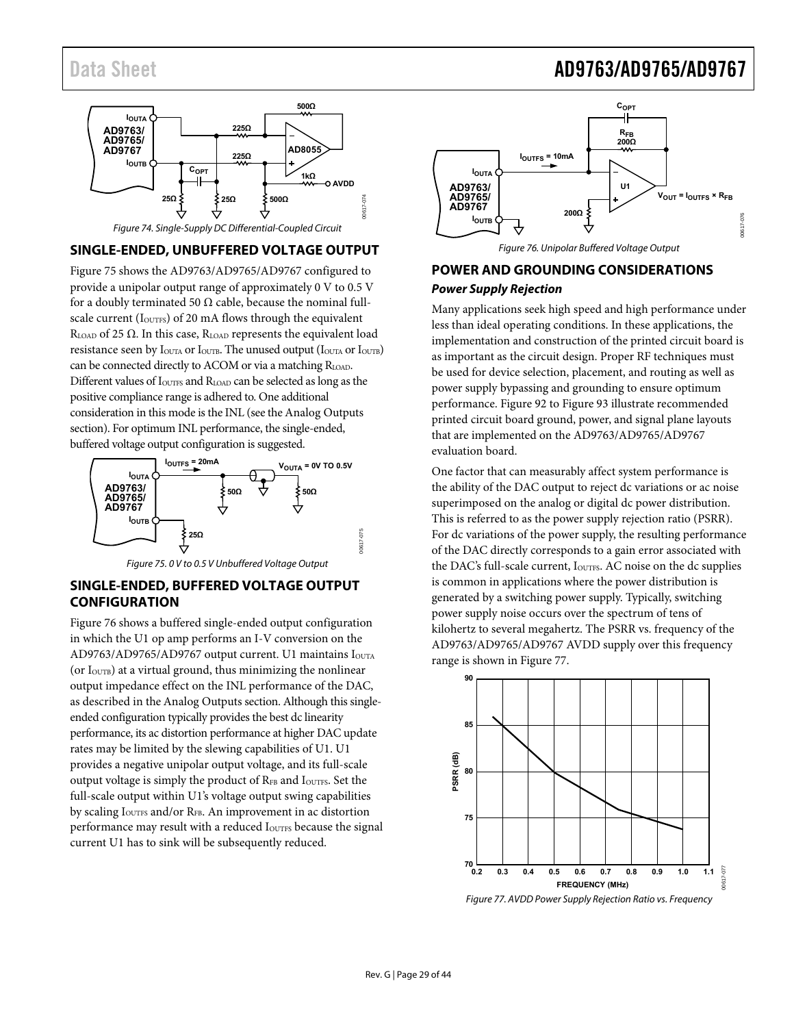<span id="page-28-0"></span>

### <span id="page-28-3"></span><span id="page-28-1"></span>**SINGLE-ENDED, UNBUFFERED VOLTAGE OUTPUT**

[Figure 75](#page-28-2) shows the AD9763/AD9765/AD9767 configured to provide a unipolar output range of approximately 0 V to 0.5 V for a doubly terminated 50  $\Omega$  cable, because the nominal fullscale current (I<sub>OUTFS</sub>) of 20 mA flows through the equivalent R<sub>LOAD</sub> of 25  $\Omega$ . In this case, R<sub>LOAD</sub> represents the equivalent load resistance seen by I<sub>OUTA</sub> or I<sub>OUTB</sub>. The unused output (I<sub>OUTA</sub> or I<sub>OUTB</sub>) can be connected directly to ACOM or via a matching R<sub>LOAD</sub>. Different values of  $I_{\text{\tiny{OUTFS}}}$  and  $R_{\text{\tiny{LOAD}}}$  can be selected as long as the positive compliance range is adhered to. One additional consideration in this mode is the INL (see the [Analog Outputs](#page-22-1) section). For optimum INL performance, the single-ended, buffered voltage output configuration is suggested.



Figure 75. 0 V to 0.5 V Unbuffered Voltage Output

### <span id="page-28-2"></span>**SINGLE-ENDED, BUFFERED VOLTAGE OUTPUT CONFIGURATION**

<span id="page-28-4"></span>[Figure 76](#page-28-3) shows a buffered single-ended output configuration in which the U1 op amp performs an I-V conversion on the AD9763/AD9765/AD9767 output current. U1 maintains IOUTA (or  $I<sub>OUTB</sub>$ ) at a virtual ground, thus minimizing the nonlinear output impedance effect on the INL performance of the DAC, as described in the [Analog Outputs](#page-22-1) section. Although this singleended configuration typically provides the best dc linearity performance, its ac distortion performance at higher DAC update rates may be limited by the slewing capabilities of U1. U1 provides a negative unipolar output voltage, and its full-scale output voltage is simply the product of  $R_{FB}$  and  $I_{\text{OUTFS}}$ . Set the full-scale output within U1's voltage output swing capabilities by scaling I<sub>OUTFS</sub> and/or R<sub>FB</sub>. An improvement in ac distortion performance may result with a reduced I<sub>OUTFS</sub> because the signal current U1 has to sink will be subsequently reduced.



Figure 76. Unipolar Buffered Voltage Output

## **POWER AND GROUNDING CONSIDERATIONS**

#### **Power Supply Rejection**

Many applications seek high speed and high performance under less than ideal operating conditions. In these applications, the implementation and construction of the printed circuit board is as important as the circuit design. Proper RF techniques must be used for device selection, placement, and routing as well as power supply bypassing and grounding to ensure optimum performance. [Figure 92](#page-39-1) to [Figure 93](#page-40-0) illustrate recommended printed circuit board ground, power, and signal plane layouts that are implemented on the AD9763/AD9765/AD9767 evaluation board.

One factor that can measurably affect system performance is the ability of the DAC output to reject dc variations or ac noise superimposed on the analog or digital dc power distribution. This is referred to as the power supply rejection ratio (PSRR). For dc variations of the power supply, the resulting performance of the DAC directly corresponds to a gain error associated with the DAC's full-scale current, I<sub>OUTFS</sub>. AC noise on the dc supplies is common in applications where the power distribution is generated by a switching power supply. Typically, switching power supply noise occurs over the spectrum of tens of kilohertz to several megahertz. The PSRR vs. frequency of the AD9763/AD9765/AD9767 AVDD supply over this frequency range is shown in [Figure 77.](#page-28-4)



Figure 77. AVDD Power Supply Rejection Ratio vs. Frequency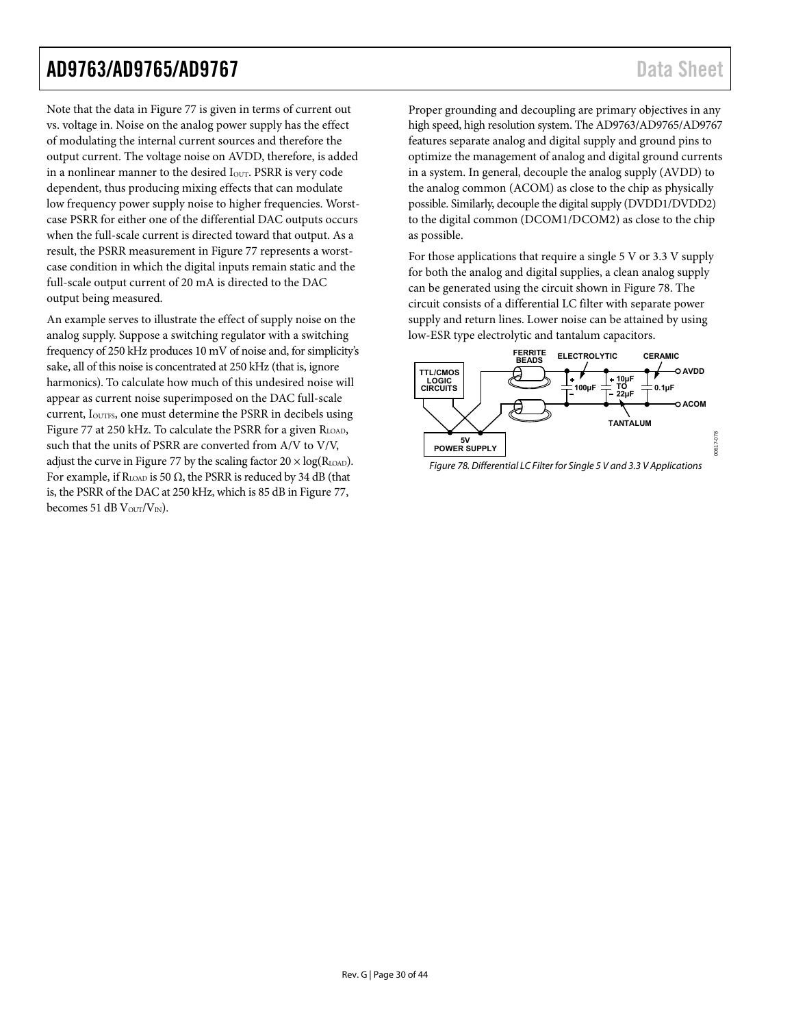00617-078

 $578$ 00617

Note that the data in [Figure 77](#page-28-4) is given in terms of current out vs. voltage in. Noise on the analog power supply has the effect of modulating the internal current sources and therefore the output current. The voltage noise on AVDD, therefore, is added in a nonlinear manner to the desired I<sub>OUT</sub>. PSRR is very code dependent, thus producing mixing effects that can modulate low frequency power supply noise to higher frequencies. Worstcase PSRR for either one of the differential DAC outputs occurs when the full-scale current is directed toward that output. As a result, the PSRR measurement in [Figure 77](#page-28-4) represents a worstcase condition in which the digital inputs remain static and the full-scale output current of 20 mA is directed to the DAC output being measured.

<span id="page-29-0"></span>An example serves to illustrate the effect of supply noise on the analog supply. Suppose a switching regulator with a switching frequency of 250 kHz produces 10 mV of noise and, for simplicity's sake, all of this noise is concentrated at 250 kHz (that is, ignore harmonics). To calculate how much of this undesired noise will appear as current noise superimposed on the DAC full-scale current, I<sub>OUTFS</sub>, one must determine the PSRR in decibels using [Figure 77](#page-28-4) at 250 kHz. To calculate the PSRR for a given R<sub>LOAD</sub>, such that the units of PSRR are converted from A/V to V/V, adjust the curve in [Figure 77](#page-28-4) by the scaling factor  $20 \times \log(R_{\text{LOAD}})$ . For example, if  $R_{\text{LOAD}}$  is 50  $\Omega$ , the PSRR is reduced by 34 dB (that is, the PSRR of the DAC at 250 kHz, which is 85 dB in [Figure 77,](#page-28-4) becomes 51 dB  $V<sub>OUT</sub>/V<sub>IN</sub>$ ).

Proper grounding and decoupling are primary objectives in any high speed, high resolution system. The AD9763/AD9765/AD9767 features separate analog and digital supply and ground pins to optimize the management of analog and digital ground currents in a system. In general, decouple the analog supply (AVDD) to the analog common (ACOM) as close to the chip as physically possible. Similarly, decouple the digital supply (DVDD1/DVDD2) to the digital common (DCOM1/DCOM2) as close to the chip as possible.

For those applications that require a single 5 V or 3.3 V supply for both the analog and digital supplies, a clean analog supply can be generated using the circuit shown in [Figure 78.](#page-29-0) The circuit consists of a differential LC filter with separate power supply and return lines. Lower noise can be attained by using low-ESR type electrolytic and tantalum capacitors.



Figure 78. Differential LC Filter for Single 5 V and 3.3 V Applications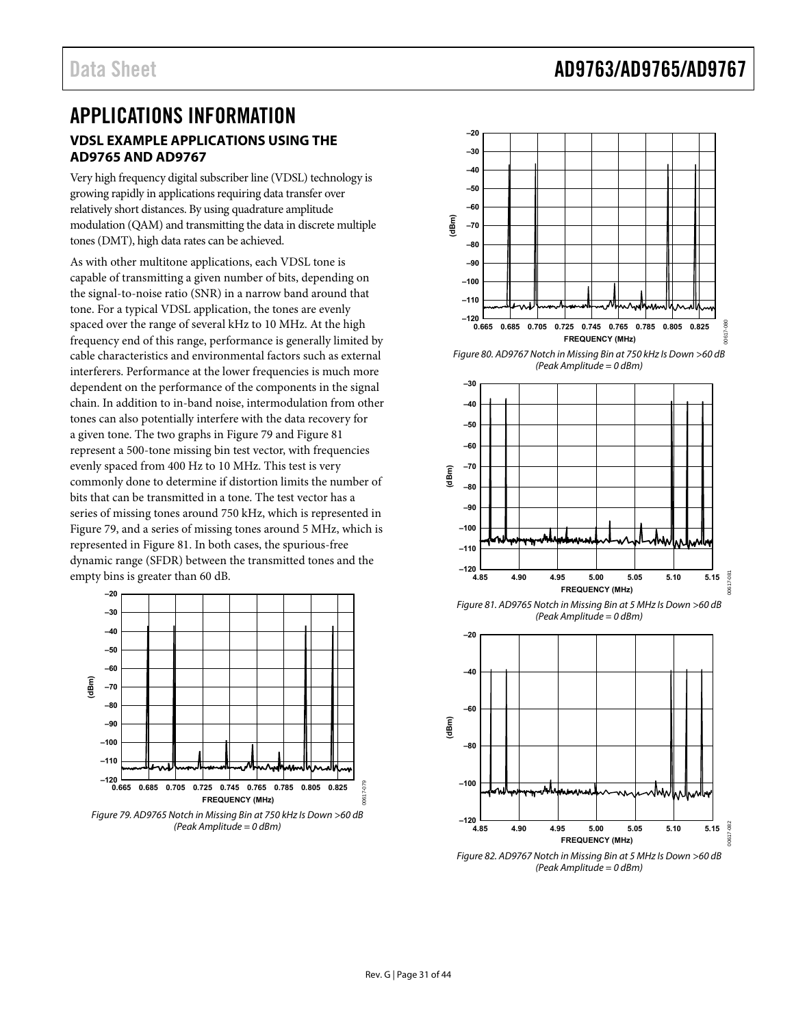## <span id="page-30-0"></span>APPLICATIONS INFORMATION **VDSL EXAMPLE APPLICATIONS USING THE AD9765 AND AD9767**

Very high frequency digital subscriber line (VDSL) technology is growing rapidly in applications requiring data transfer over relatively short distances. By using quadrature amplitude modulation (QAM) and transmitting the data in discrete multiple tones (DMT), high data rates can be achieved.

As with other multitone applications, each VDSL tone is capable of transmitting a given number of bits, depending on the signal-to-noise ratio (SNR) in a narrow band around that tone. For a typical VDSL application, the tones are evenly spaced over the range of several kHz to 10 MHz. At the high frequency end of this range, performance is generally limited by cable characteristics and environmental factors such as external interferers. Performance at the lower frequencies is much more dependent on the performance of the components in the signal chain. In addition to in-band noise, intermodulation from other tones can also potentially interfere with the data recovery for a given tone. The two graphs in [Figure 79](#page-30-1) and [Figure 81](#page-30-2) represent a 500-tone missing bin test vector, with frequencies evenly spaced from 400 Hz to 10 MHz. This test is very commonly done to determine if distortion limits the number of bits that can be transmitted in a tone. The test vector has a series of missing tones around 750 kHz, which is represented in [Figure 79](#page-30-1), and a series of missing tones around 5 MHz, which is represented in [Figure 81.](#page-30-2) In both cases, the spurious-free dynamic range (SFDR) between the transmitted tones and the empty bins is greater than 60 dB.

<span id="page-30-2"></span>

<span id="page-30-1"></span>Figure 79. AD9765 Notch in Missing Bin at 750 kHz Is Down >60 dB (Peak Amplitude = 0 dBm)



Figure 80. AD9767 Notch in Missing Bin at 750 kHz Is Down >60 dB (Peak Amplitude = 0 dBm)



Figure 81. AD9765 Notch in Missing Bin at 5 MHz Is Down >60 dB (Peak Amplitude = 0 dBm)



Figure 82. AD9767 Notch in Missing Bin at 5 MHz Is Down >60 dB (Peak Amplitude = 0 dBm)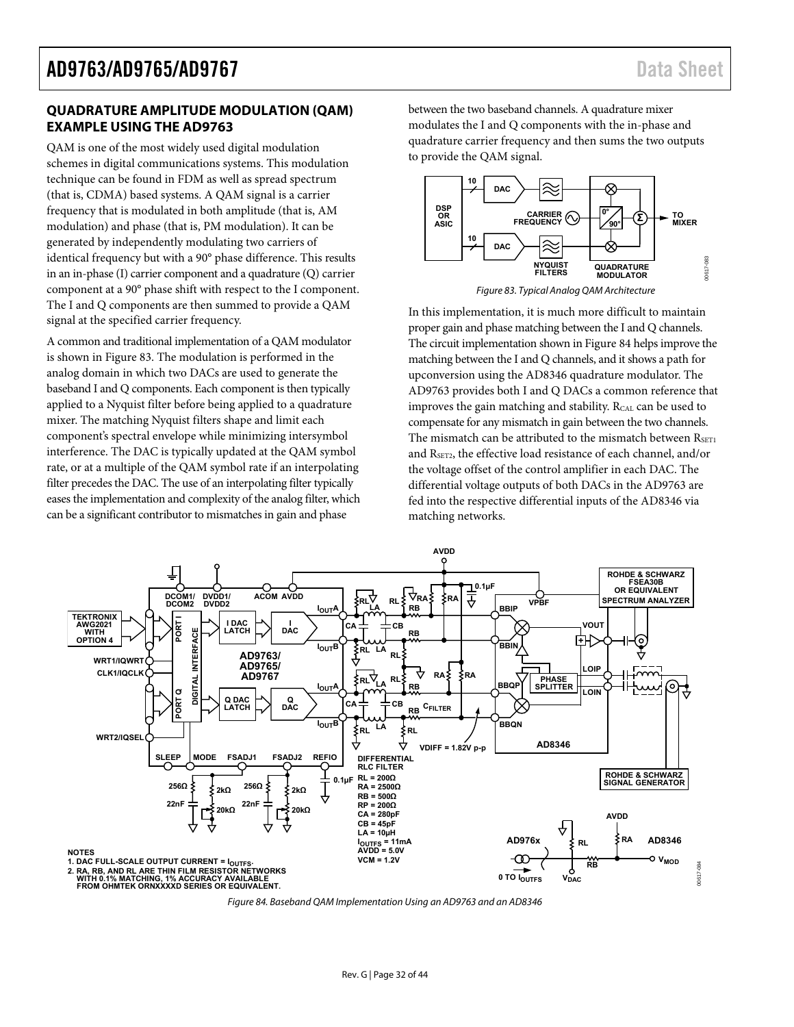### <span id="page-31-0"></span>**QUADRATURE AMPLITUDE MODULATION (QAM) EXAMPLE USING THE AD9763**

QAM is one of the most widely used digital modulation schemes in digital communications systems. This modulation technique can be found in FDM as well as spread spectrum (that is, CDMA) based systems. A QAM signal is a carrier frequency that is modulated in both amplitude (that is, AM modulation) and phase (that is, PM modulation). It can be generated by independently modulating two carriers of identical frequency but with a 90° phase difference. This results in an in-phase (I) carrier component and a quadrature (Q) carrier component at a 90° phase shift with respect to the I component. The I and Q components are then summed to provide a QAM signal at the specified carrier frequency.

<span id="page-31-1"></span>A common and traditional implementation of a QAM modulator is shown in [Figure 83.](#page-31-1) The modulation is performed in the analog domain in which two DACs are used to generate the baseband I and Q components. Each component is then typically applied to a Nyquist filter before being applied to a quadrature mixer. The matching Nyquist filters shape and limit each component's spectral envelope while minimizing intersymbol interference. The DAC is typically updated at the QAM symbol rate, or at a multiple of the QAM symbol rate if an interpolating filter precedes the DAC. The use of an interpolating filter typically eases the implementation and complexity of the analog filter, which can be a significant contributor to mismatches in gain and phase

between the two baseband channels. A quadrature mixer modulates the I and Q components with the in-phase and quadrature carrier frequency and then sums the two outputs to provide the QAM signal.





In this implementation, it is much more difficult to maintain proper gain and phase matching between the I and Q channels. The circuit implementation shown in [Figure 84](#page-31-2) helps improve the matching between the I and Q channels, and it shows a path for upconversion using the AD8346 quadrature modulator. The AD9763 provides both I and Q DACs a common reference that improves the gain matching and stability. RCAL can be used to compensate for any mismatch in gain between the two channels. The mismatch can be attributed to the mismatch between  $R_{\text{SET1}}$ and RSET2, the effective load resistance of each channel, and/or the voltage offset of the control amplifier in each DAC. The differential voltage outputs of both DACs in the AD9763 are fed into the respective differential inputs of the AD8346 via matching networks.



<span id="page-31-2"></span>Figure 84. Baseband QAM Implementation Using an AD9763 and an AD8346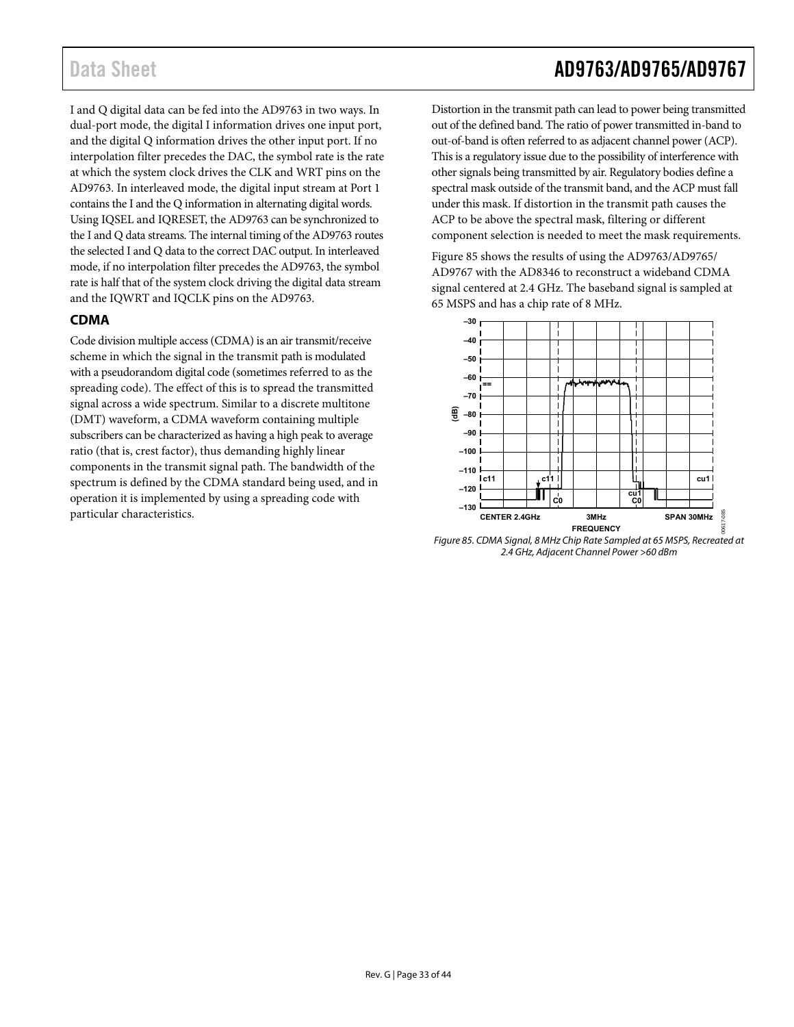I and Q digital data can be fed into the AD9763 in two ways. In dual-port mode, the digital I information drives one input port, and the digital Q information drives the other input port. If no interpolation filter precedes the DAC, the symbol rate is the rate at which the system clock drives the CLK and WRT pins on the AD9763. In interleaved mode, the digital input stream at Port 1 contains the I and the Q information in alternating digital words. Using IQSEL and IQRESET, the AD9763 can be synchronized to the I and Q data streams. The internal timing of the AD9763 routes the selected I and Q data to the correct DAC output. In interleaved mode, if no interpolation filter precedes the AD9763, the symbol rate is half that of the system clock driving the digital data stream and the IQWRT and IQCLK pins on the AD9763.

## **CDMA**

<span id="page-32-1"></span>Code division multiple access (CDMA) is an air transmit/receive scheme in which the signal in the transmit path is modulated with a pseudorandom digital code (sometimes referred to as the spreading code). The effect of this is to spread the transmitted signal across a wide spectrum. Similar to a discrete multitone (DMT) waveform, a CDMA waveform containing multiple subscribers can be characterized as having a high peak to average ratio (that is, crest factor), thus demanding highly linear components in the transmit signal path. The bandwidth of the spectrum is defined by the CDMA standard being used, and in operation it is implemented by using a spreading code with particular characteristics.

# <span id="page-32-0"></span>Data Sheet **AD9763/AD9765/AD9767**

Distortion in the transmit path can lead to power being transmitted out of the defined band. The ratio of power transmitted in-band to out-of-band is often referred to as adjacent channel power (ACP). This is a regulatory issue due to the possibility of interference with other signals being transmitted by air. Regulatory bodies define a spectral mask outside of the transmit band, and the ACP must fall under this mask. If distortion in the transmit path causes the ACP to be above the spectral mask, filtering or different component selection is needed to meet the mask requirements.

[Figure 85](#page-32-1) shows the results of using the AD9763/AD9765/ AD9767 with the AD8346 to reconstruct a wideband CDMA signal centered at 2.4 GHz. The baseband signal is sampled at 65 MSPS and has a chip rate of 8 MHz.



Figure 85. CDMA Signal, 8 MHz Chip Rate Sampled at 65 MSPS, Recreated at 2.4 GHz, Adjacent Channel Power >60 dBm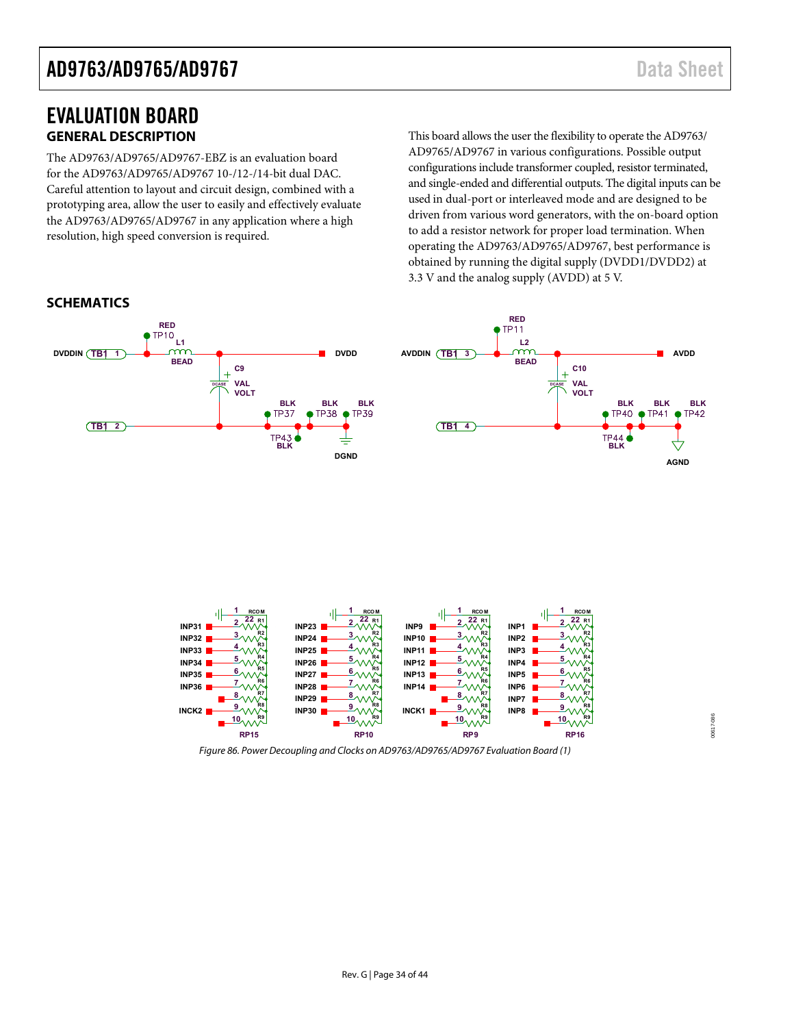# <span id="page-33-0"></span>EVALUATION BOARD **GENERAL DESCRIPTION**

The AD9763/AD9765/AD9767-EBZ is an evaluation board for the AD9763/AD9765/AD9767 10-/12-/14-bit dual DAC. Careful attention to layout and circuit design, combined with a prototyping area, allow the user to easily and effectively evaluate the AD9763/AD9765/AD9767 in any application where a high resolution, high speed conversion is required.

This board allows the user the flexibility to operate the AD9763/ AD9765/AD9767 in various configurations. Possible output configurations include transformer coupled, resistor terminated, and single-ended and differential outputs. The digital inputs can be used in dual-port or interleaved mode and are designed to be driven from various word generators, with the on-board option to add a resistor network for proper load termination. When operating the AD9763/AD9765/AD9767, best performance is obtained by running the digital supply (DVDD1/DVDD2) at 3.3 V and the analog supply (AVDD) at 5 V.





Figure 86. Power Decoupling and Clocks on AD9763/AD9765/AD9767 Evaluation Board (1)

00617-086 00617-086

### **SCHEMATICS**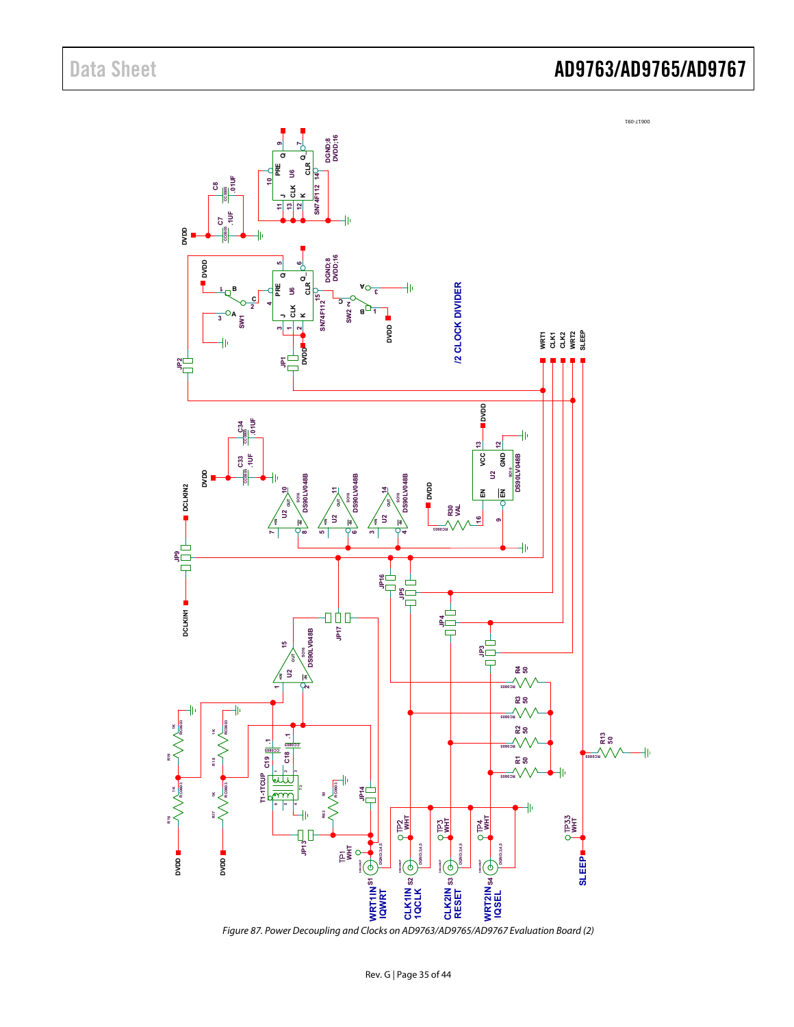

Figure 87. Power Decoupling and Clocks on AD9763/AD9765/AD9767 Evaluation Board (2)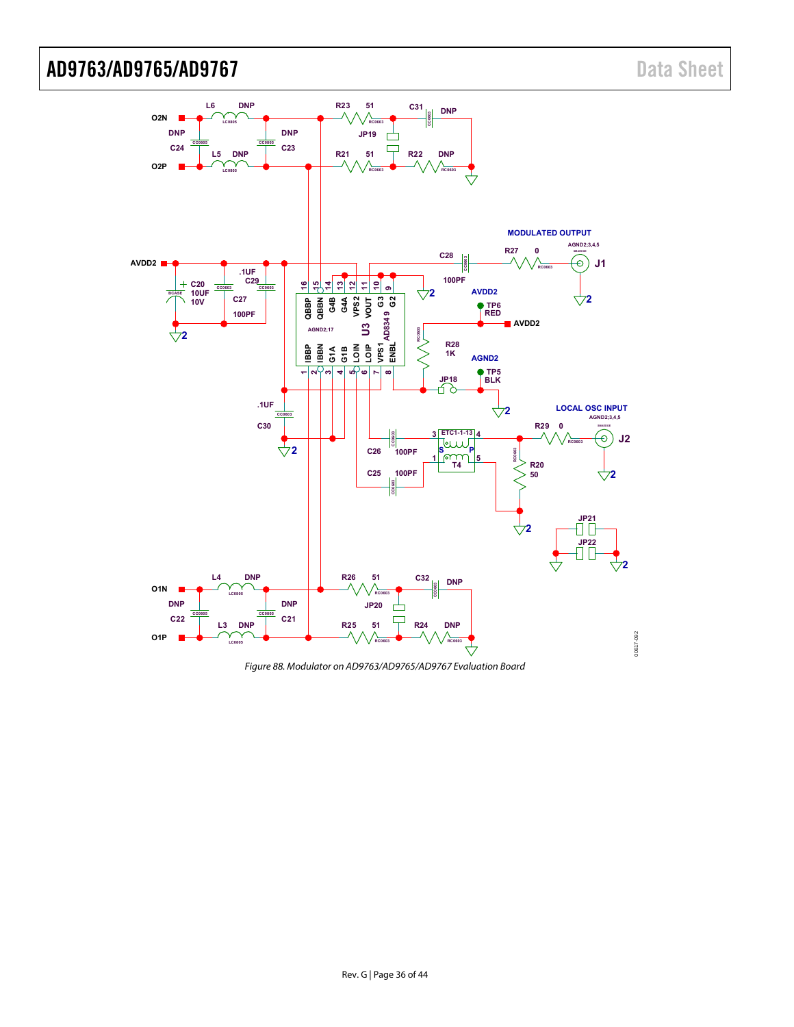

Figure 88. Modulator on AD9763/AD9765/AD9767 Evaluation Board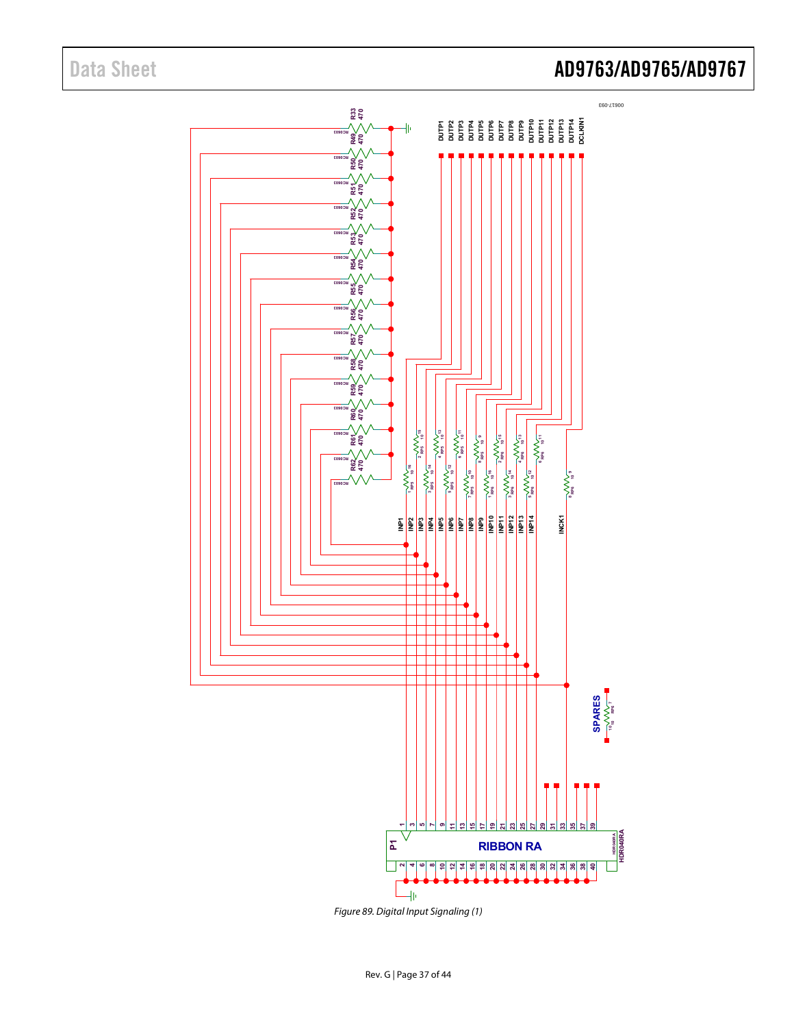

Figure 89. Digital Input Signaling (1)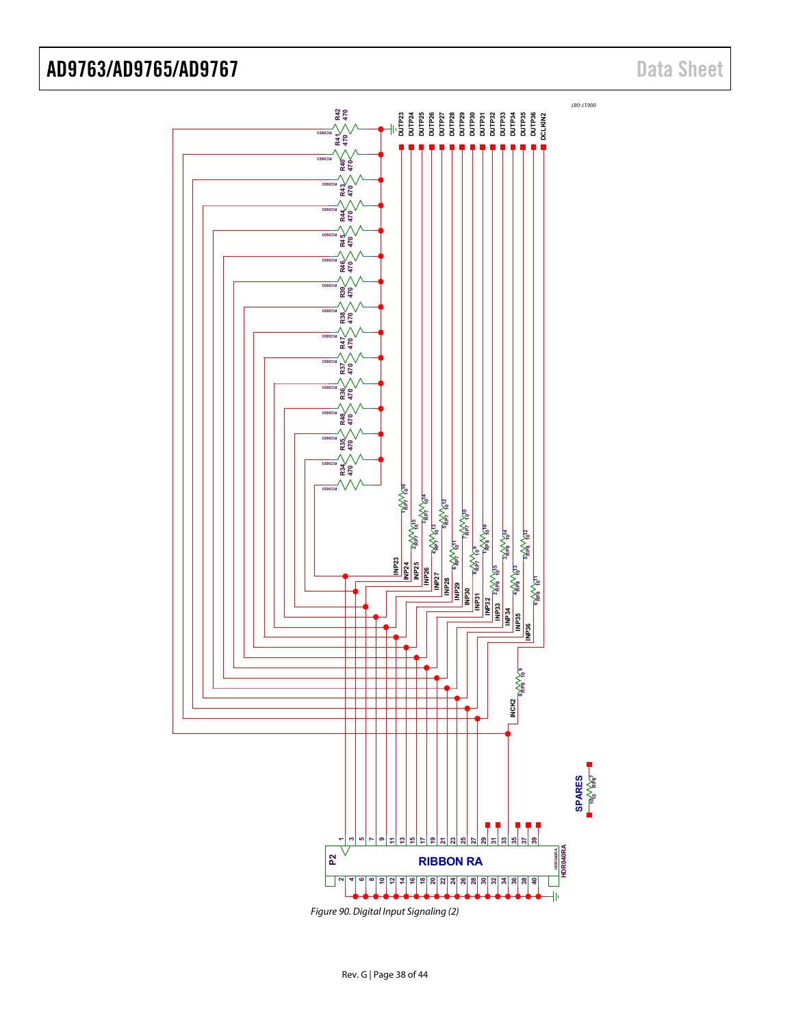

Figure 90. Digital Input Signaling (2)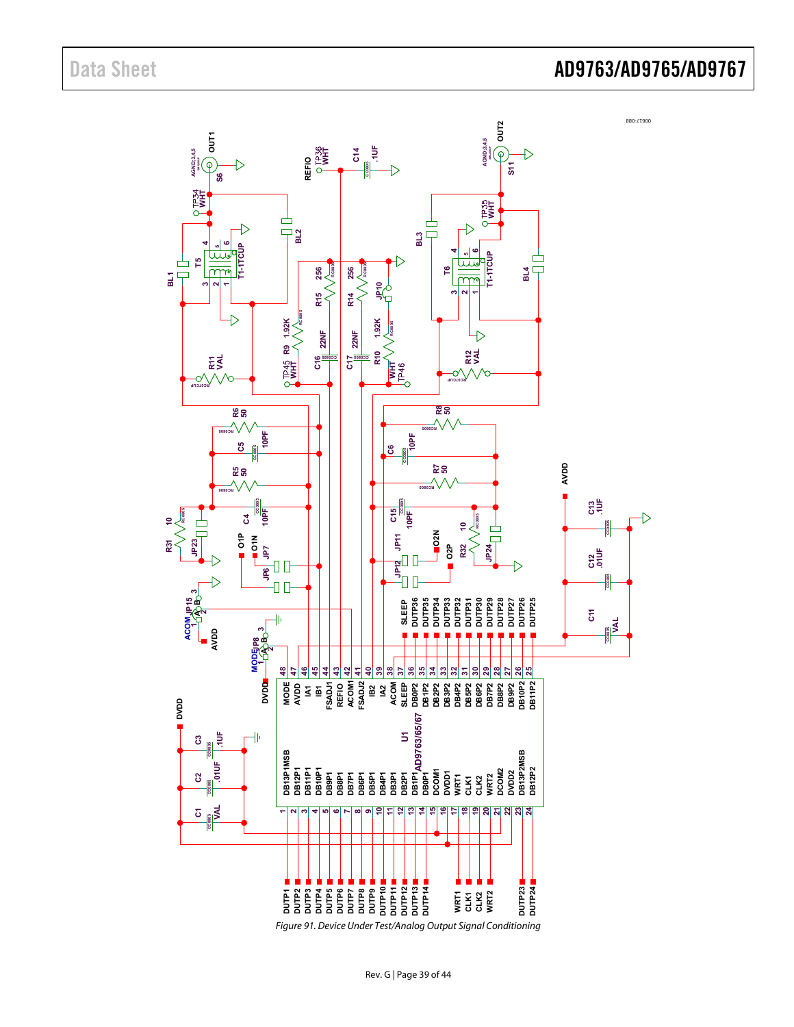

Figure 91. Device Under Test/Analog Output Signal Conditioning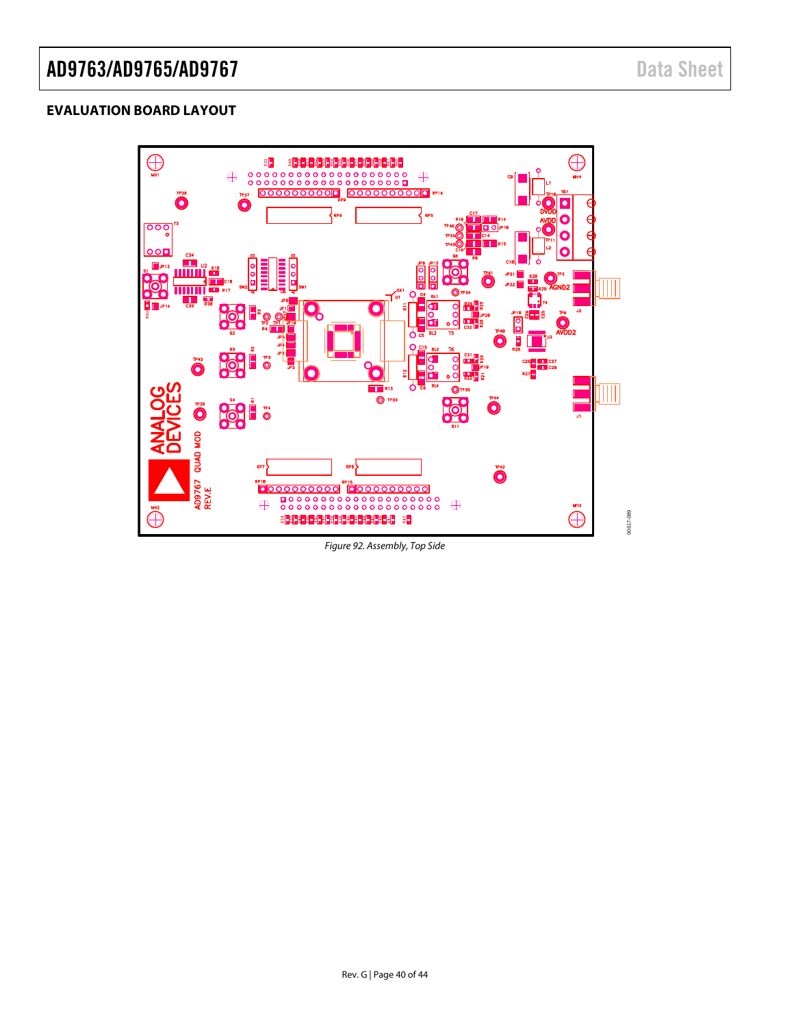## <span id="page-39-0"></span>**EVALUATION BOARD LAYOUT**



<span id="page-39-1"></span>Figure 92. Assembly, Top Side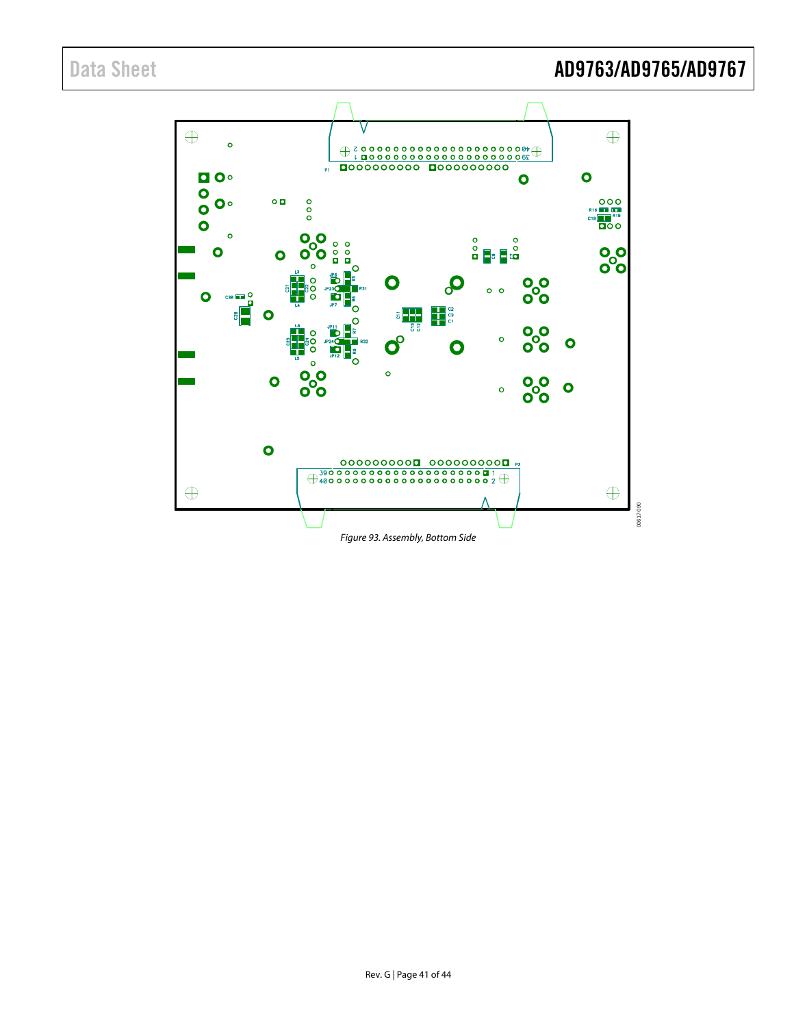<span id="page-40-0"></span>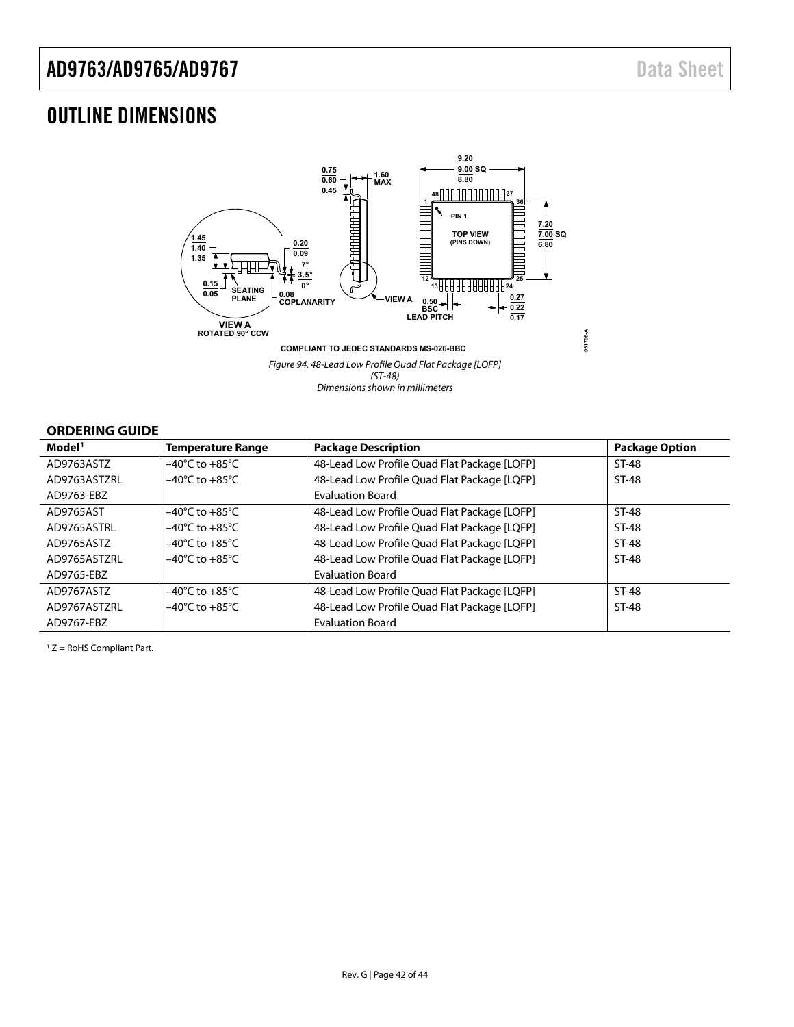# <span id="page-41-0"></span>OUTLINE DIMENSIONS



Dimensions shown in millimeters

### **ORDERING GUIDE**

| Model <sup>1</sup> | <b>Temperature Range</b>           | <b>Package Description</b>                   | <b>Package Option</b> |
|--------------------|------------------------------------|----------------------------------------------|-----------------------|
| AD9763ASTZ         | $-40^{\circ}$ C to $+85^{\circ}$ C | 48-Lead Low Profile Quad Flat Package [LQFP] | ST-48                 |
| AD9763ASTZRL       | $-40^{\circ}$ C to $+85^{\circ}$ C | 48-Lead Low Profile Quad Flat Package [LQFP] | ST-48                 |
| AD9763-EBZ         |                                    | <b>Evaluation Board</b>                      |                       |
| AD9765AST          | $-40^{\circ}$ C to $+85^{\circ}$ C | 48-Lead Low Profile Quad Flat Package [LQFP] | ST-48                 |
| AD9765ASTRL        | $-40^{\circ}$ C to $+85^{\circ}$ C | 48-Lead Low Profile Quad Flat Package [LQFP] | ST-48                 |
| AD9765ASTZ         | $-40^{\circ}$ C to $+85^{\circ}$ C | 48-Lead Low Profile Quad Flat Package [LQFP] | ST-48                 |
| AD9765ASTZRL       | $-40^{\circ}$ C to $+85^{\circ}$ C | 48-Lead Low Profile Quad Flat Package [LQFP] | ST-48                 |
| AD9765-EBZ         |                                    | <b>Evaluation Board</b>                      |                       |
| AD9767ASTZ         | $-40^{\circ}$ C to $+85^{\circ}$ C | 48-Lead Low Profile Quad Flat Package [LQFP] | ST-48                 |
| AD9767ASTZRL       | $-40^{\circ}$ C to $+85^{\circ}$ C | 48-Lead Low Profile Quad Flat Package [LQFP] | ST-48                 |
| AD9767-EBZ         |                                    | <b>Evaluation Board</b>                      |                       |

 $1 Z =$  RoHS Compliant Part.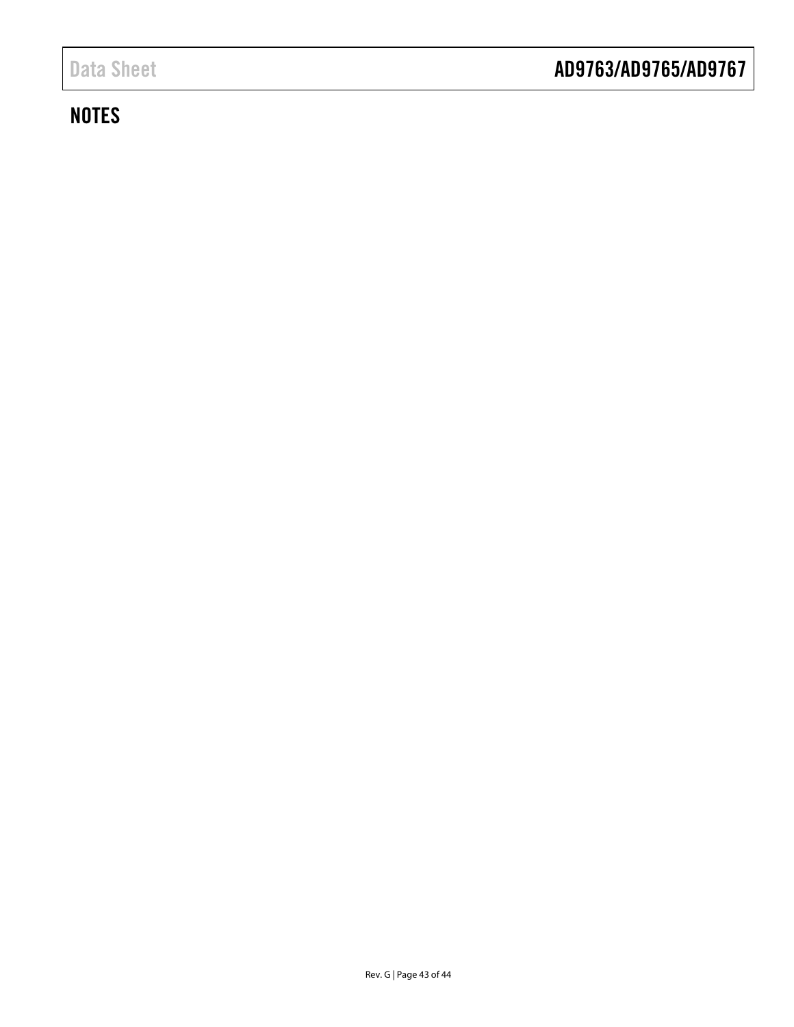# **NOTES**